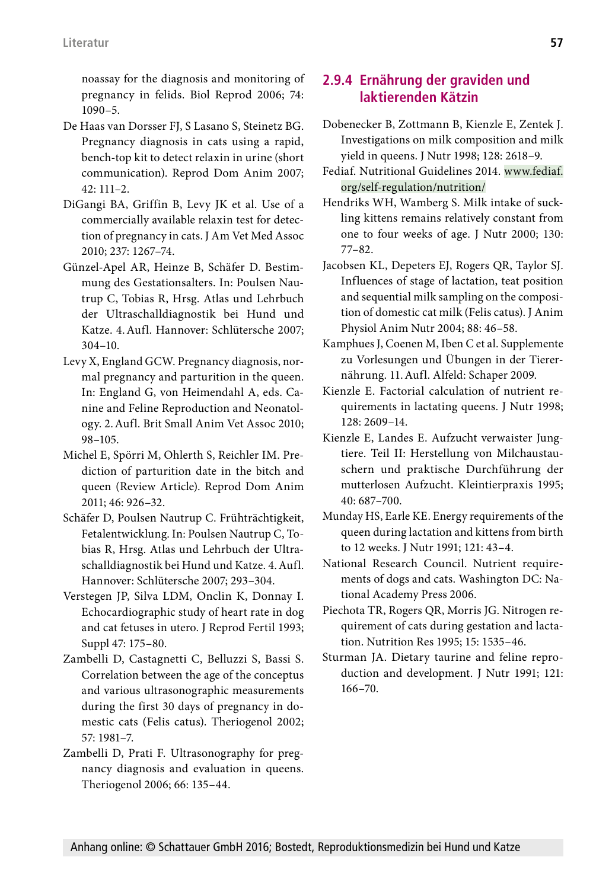noassay for the diagnosis and monitoring of pregnancy in felids. Biol Reprod 2006; 74: 1090–5.

- De Haas van Dorsser FJ, S Lasano S, Steinetz BG. Pregnancy diagnosis in cats using a rapid, bench-top kit to detect relaxin in urine (short communication). Reprod Dom Anim 2007; 42: 111–2.
- DiGangi BA, Griffin B, Levy JK et al. Use of a commercially available relaxin test for detection of pregnancy in cats. J Am Vet Med Assoc 2010; 237: 1267–74.
- Günzel-Apel AR, Heinze B, Schäfer D. Bestimmung des Gestationsalters. In: Poulsen Nautrup C, Tobias R, Hrsg. Atlas und Lehrbuch der Ultraschalldiagnostik bei Hund und Katze. 4.Aufl. Hannover: Schlütersche 2007; 304–10.
- Levy X, England GCW. Pregnancy diagnosis, normal pregnancy and parturition in the queen. In: England G, von Heimendahl A, eds. Canine and Feline Reproduction and Neonatology. 2.Aufl. Brit Small Anim Vet Assoc 2010; 98–105.
- Michel E, Spörri M, Ohlerth S, Reichler IM. Prediction of parturition date in the bitch and queen (Review Article). Reprod Dom Anim 2011; 46: 926–32.
- Schäfer D, Poulsen Nautrup C. Frühträchtigkeit, Fetalentwicklung. In: Poulsen Nautrup C, Tobias R, Hrsg. Atlas und Lehrbuch der Ultraschalldiagnostik bei Hund und Katze. 4.Aufl. Hannover: Schlütersche 2007; 293–304.
- Verstegen JP, Silva LDM, Onclin K, Donnay I. Echocardiographic study of heart rate in dog and cat fetuses in utero. J Reprod Fertil 1993; Suppl 47: 175–80.
- Zambelli D, Castagnetti C, Belluzzi S, Bassi S. Correlation between the age of the conceptus and various ultrasonographic measurements during the first 30 days of pregnancy in domestic cats (Felis catus). Theriogenol 2002; 57: 1981–7.
- Zambelli D, Prati F. Ultrasonography for pregnancy diagnosis and evaluation in queens. Theriogenol 2006; 66: 135–44.

#### **2.9.4 Ernährung der graviden und laktierenden Kätzin**

- Dobenecker B, Zottmann B, Kienzle E, Zentek J. Investigations on milk composition and milk yield in queens. J Nutr 1998; 128: 2618–9.
- Fediaf. Nutritional Guidelines 2014. www.fediaf. org/self-regulation/nutrition/
- Hendriks WH, Wamberg S. Milk intake of suckling kittens remains relatively constant from one to four weeks of age. J Nutr 2000; 130: 77–82.
- Jacobsen KL, Depeters EJ, Rogers QR, Taylor SJ. Influences of stage of lactation, teat position and sequential milk sampling on the composition of domestic cat milk (Felis catus). J Anim Physiol Anim Nutr 2004; 88: 46–58.
- Kamphues J, Coenen M, Iben C et al. Supplemente zu Vorlesungen und Übungen in der Tierernährung. 11.Aufl. Alfeld: Schaper 2009.
- Kienzle E. Factorial calculation of nutrient requirements in lactating queens. J Nutr 1998; 128: 2609–14.
- Kienzle E, Landes E. Aufzucht verwaister Jungtiere. Teil II: Herstellung von Milchaustauschern und praktische Durchführung der mutterlosen Aufzucht. Kleintierpraxis 1995; 40: 687–700.
- Munday HS, Earle KE. Energy requirements of the queen during lactation and kittens from birth to 12 weeks. J Nutr 1991; 121: 43–4.
- National Research Council. Nutrient requirements of dogs and cats. Washington DC: National Academy Press 2006.
- Piechota TR, Rogers QR, Morris JG. Nitrogen requirement of cats during gestation and lactation. Nutrition Res 1995; 15: 1535–46.
- Sturman JA. Dietary taurine and feline reproduction and development. J Nutr 1991; 121: 166–70.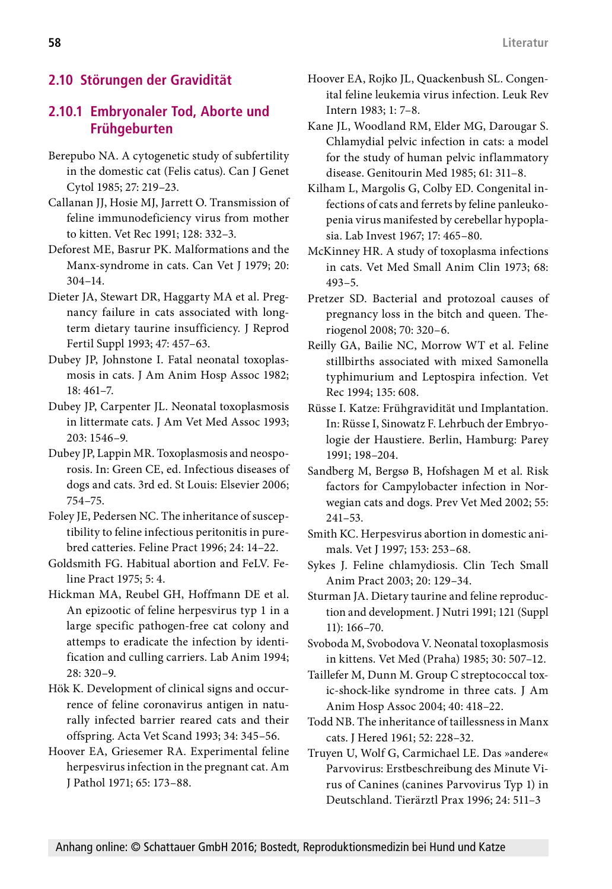# **2.10 Störungen der Gravidität**

### **2.10.1 Embryonaler Tod, Aborte und Frühgeburten**

- Berepubo NA. A cytogenetic study of subfertility in the domestic cat (Felis catus). Can J Genet Cytol 1985; 27: 219–23.
- Callanan JJ, Hosie MJ, Jarrett O. Transmission of feline immunodeficiency virus from mother to kitten. Vet Rec 1991; 128: 332–3.
- Deforest ME, Basrur PK. Malformations and the Manx-syndrome in cats. Can Vet J 1979; 20: 304–14.
- Dieter JA, Stewart DR, Haggarty MA et al. Pregnancy failure in cats associated with longterm dietary taurine insufficiency. J Reprod Fertil Suppl 1993; 47: 457–63.
- Dubey JP, Johnstone I. Fatal neonatal toxoplasmosis in cats. J Am Anim Hosp Assoc 1982; 18: 461–7.
- Dubey JP, Carpenter JL. Neonatal toxoplasmosis in littermate cats. J Am Vet Med Assoc 1993; 203: 1546–9.
- Dubey JP, Lappin MR. Toxoplasmosis and neosporosis. In: Green CE, ed. Infectious diseases of dogs and cats. 3rd ed. St Louis: Elsevier 2006; 754–75.
- Foley JE, Pedersen NC. The inheritance of susceptibility to feline infectious peritonitis in purebred catteries. Feline Pract 1996; 24: 14–22.
- Goldsmith FG. Habitual abortion and FeLV. Feline Pract 1975; 5: 4.
- Hickman MA, Reubel GH, Hoffmann DE et al. An epizootic of feline herpesvirus typ 1 in a large specific pathogen-free cat colony and attemps to eradicate the infection by identification and culling carriers. Lab Anim 1994; 28: 320–9.
- Hök K. Development of clinical signs and occurrence of feline coronavirus antigen in naturally infected barrier reared cats and their offspring. Acta Vet Scand 1993; 34: 345–56.
- Hoover EA, Griesemer RA. Experimental feline herpesvirus infection in the pregnant cat. Am J Pathol 1971; 65: 173–88.
- Hoover EA, Rojko JL, Quackenbush SL. Congenital feline leukemia virus infection. Leuk Rev Intern 1983; 1: 7–8.
- Kane JL, Woodland RM, Elder MG, Darougar S. Chlamydial pelvic infection in cats: a model for the study of human pelvic inflammatory disease. Genitourin Med 1985; 61: 311–8.
- Kilham L, Margolis G, Colby ED. Congenital infections of cats and ferrets by feline panleukopenia virus manifested by cerebellar hypoplasia. Lab Invest 1967; 17: 465–80.
- McKinney HR. A study of toxoplasma infections in cats. Vet Med Small Anim Clin 1973; 68: 493–5.
- Pretzer SD. Bacterial and protozoal causes of pregnancy loss in the bitch and queen. Theriogenol 2008; 70: 320–6.
- Reilly GA, Bailie NC, Morrow WT et al. Feline stillbirths associated with mixed Samonella typhimurium and Leptospira infection. Vet Rec 1994; 135: 608.
- Rüsse I. Katze: Frühgravidität und Implantation. In: Rüsse I, Sinowatz F. Lehrbuch der Embryologie der Haustiere. Berlin, Hamburg: Parey 1991; 198–204.
- Sandberg M, Bergsø B, Hofshagen M et al. Risk factors for Campylobacter infection in Norwegian cats and dogs. Prev Vet Med 2002; 55: 241–53.
- Smith KC. Herpesvirus abortion in domestic animals. Vet J 1997; 153: 253–68.
- Sykes J. Feline chlamydiosis. Clin Tech Small Anim Pract 2003; 20: 129–34.
- Sturman JA. Dietary taurine and feline reproduction and development. J Nutri 1991; 121 (Suppl 11): 166–70.
- Svoboda M, Svobodova V. Neonatal toxoplasmosis in kittens. Vet Med (Praha) 1985; 30: 507–12.
- Taillefer M, Dunn M. Group C streptococcal toxic-shock-like syndrome in three cats. J Am Anim Hosp Assoc 2004; 40: 418–22.
- Todd NB. The inheritance of taillessness in Manx cats. J Hered 1961; 52: 228–32.
- Truyen U, Wolf G, Carmichael LE. Das »andere« Parvovirus: Erstbeschreibung des Minute Virus of Canines (canines Parvovirus Typ 1) in Deutschland. Tierärztl Prax 1996; 24: 511–3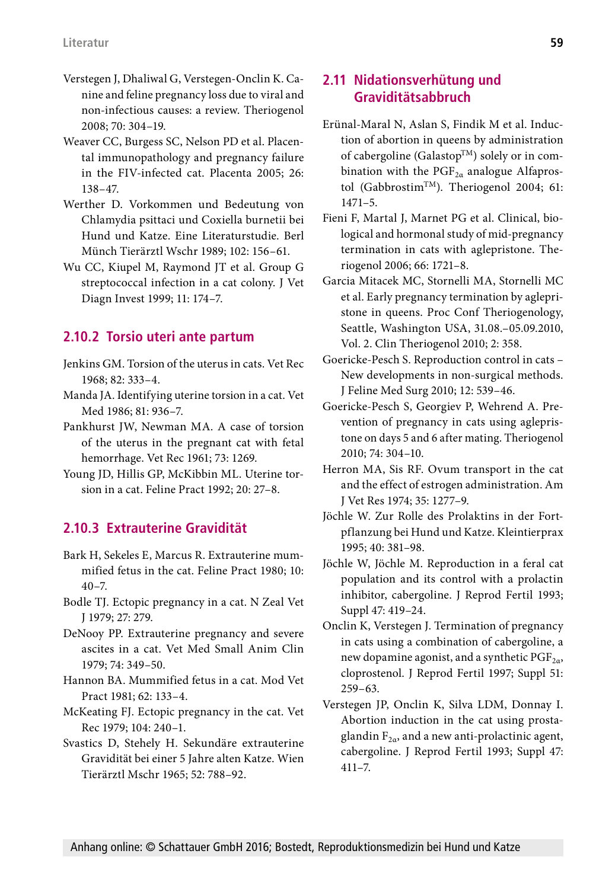- Verstegen J, Dhaliwal G, Verstegen-Onclin K. Canine and feline pregnancy loss due to viral and non-infectious causes: a review. Theriogenol 2008; 70: 304–19.
- Weaver CC, Burgess SC, Nelson PD et al. Placental immunopathology and pregnancy failure in the FIV-infected cat. Placenta 2005; 26: 138–47.
- Werther D. Vorkommen und Bedeutung von Chlamydia psittaci und Coxiella burnetii bei Hund und Katze. Eine Literaturstudie. Berl Münch Tierärztl Wschr 1989; 102: 156–61.
- Wu CC, Kiupel M, Raymond JT et al. Group G streptococcal infection in a cat colony. J Vet Diagn Invest 1999; 11: 174–7.

#### **2.10.2 Torsio uteri ante partum**

- Jenkins GM. Torsion of the uterus in cats. Vet Rec 1968; 82: 333–4.
- Manda JA. Identifying uterine torsion in a cat. Vet Med 1986; 81: 936–7.
- Pankhurst JW, Newman MA. A case of torsion of the uterus in the pregnant cat with fetal hemorrhage. Vet Rec 1961; 73: 1269.
- Young JD, Hillis GP, McKibbin ML. Uterine torsion in a cat. Feline Pract 1992; 20: 27–8.

## **2.10.3 Extrauterine Gravidität**

- Bark H, Sekeles E, Marcus R. Extrauterine mummified fetus in the cat. Feline Pract 1980; 10:  $40 - 7.$
- Bodle TJ. Ectopic pregnancy in a cat. N Zeal Vet J 1979; 27: 279.
- DeNooy PP. Extrauterine pregnancy and severe ascites in a cat. Vet Med Small Anim Clin 1979; 74: 349–50.
- Hannon BA. Mummified fetus in a cat. Mod Vet Pract 1981; 62: 133–4.
- McKeating FJ. Ectopic pregnancy in the cat. Vet Rec 1979; 104: 240–1.
- Svastics D, Stehely H. Sekundäre extrauterine Gravidität bei einer 5 Jahre alten Katze. Wien Tierärztl Mschr 1965; 52: 788–92.

#### **2.11 Nidationsverhütung und Graviditätsabbruch**

- Erünal-Maral N, Aslan S, Findik M et al. Induction of abortion in queens by administration of cabergoline (Galastop<sup>TM</sup>) solely or in combination with the  $PGF_{2\alpha}$  analogue Alfaprostol (Gabbrostim<sup>TM</sup>). Theriogenol 2004; 61: 1471–5.
- Fieni F, Martal J, Marnet PG et al. Clinical, biological and hormonal study of mid-pregnancy termination in cats with aglepristone. Theriogenol 2006; 66: 1721–8.
- Garcia Mitacek MC, Stornelli MA, Stornelli MC et al. Early pregnancy termination by aglepristone in queens. Proc Conf Theriogenology, Seattle, Washington USA, 31.08.–05.09.2010, Vol. 2. Clin Theriogenol 2010; 2: 358.
- Goericke-Pesch S. Reproduction control in cats New developments in non-surgical methods. J Feline Med Surg 2010; 12: 539–46.
- Goericke-Pesch S, Georgiev P, Wehrend A. Prevention of pregnancy in cats using aglepristone on days 5 and 6 after mating. Theriogenol 2010; 74: 304–10.
- Herron MA, Sis RF. Ovum transport in the cat and the effect of estrogen administration. Am J Vet Res 1974; 35: 1277–9.
- Jöchle W. Zur Rolle des Prolaktins in der Fortpflanzung bei Hund und Katze. Kleintierprax 1995; 40: 381–98.
- Jöchle W, Jöchle M. Reproduction in a feral cat population and its control with a prolactin inhibitor, cabergoline. J Reprod Fertil 1993; Suppl 47: 419–24.
- Onclin K, Verstegen J. Termination of pregnancy in cats using a combination of cabergoline, a new dopamine agonist, and a synthetic  $PGF_{2\alpha}$ , cloprostenol. J Reprod Fertil 1997; Suppl 51: 259–63.
- Verstegen JP, Onclin K, Silva LDM, Donnay I. Abortion induction in the cat using prostaglandin  $F_{2\alpha}$ , and a new anti-prolactinic agent, cabergoline. J Reprod Fertil 1993; Suppl 47: 411–7.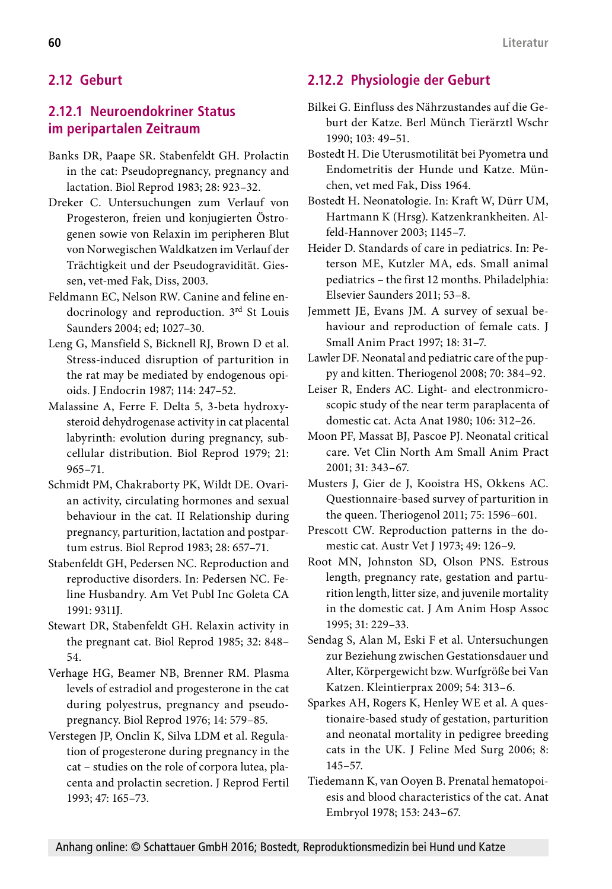## **2.12 Geburt**

### **2.12.1 Neuroendokriner Status im peripartalen Zeitraum**

- Banks DR, Paape SR. Stabenfeldt GH. Prolactin in the cat: Pseudopregnancy, pregnancy and lactation. Biol Reprod 1983; 28: 923–32.
- Dreker C. Untersuchungen zum Verlauf von Progesteron, freien und konjugierten Östrogenen sowie von Relaxin im peripheren Blut von Norwegischen Waldkatzen im Verlauf der Trächtigkeit und der Pseudogravidität. Giessen, vet-med Fak, Diss, 2003.
- Feldmann EC, Nelson RW. Canine and feline endocrinology and reproduction. 3rd St Louis Saunders 2004; ed; 1027–30.
- Leng G, Mansfield S, Bicknell RJ, Brown D et al. Stress-induced disruption of parturition in the rat may be mediated by endogenous opioids. J Endocrin 1987; 114: 247–52.
- Malassine A, Ferre F. Delta 5, 3-beta hydroxysteroid dehydrogenase activity in cat placental labyrinth: evolution during pregnancy, subcellular distribution. Biol Reprod 1979; 21: 965–71.
- Schmidt PM, Chakraborty PK, Wildt DE. Ovarian activity, circulating hormones and sexual behaviour in the cat. II Relationship during pregnancy, parturition, lactation and postpartum estrus. Biol Reprod 1983; 28: 657–71.
- Stabenfeldt GH, Pedersen NC. Reproduction and reproductive disorders. In: Pedersen NC. Feline Husbandry. Am Vet Publ Inc Goleta CA 1991: 9311J.
- Stewart DR, Stabenfeldt GH. Relaxin activity in the pregnant cat. Biol Reprod 1985; 32: 848– 54.
- Verhage HG, Beamer NB, Brenner RM. Plasma levels of estradiol and progesterone in the cat during polyestrus, pregnancy and pseudopregnancy. Biol Reprod 1976; 14: 579–85.
- Verstegen JP, Onclin K, Silva LDM et al. Regulation of progesterone during pregnancy in the cat – studies on the role of corpora lutea, placenta and prolactin secretion. J Reprod Fertil 1993; 47: 165–73.

# **2.12.2 Physiologie der Geburt**

- Bilkei G. Einfluss des Nährzustandes auf die Geburt der Katze. Berl Münch Tierärztl Wschr 1990; 103: 49–51.
- Bostedt H. Die Uterusmotilität bei Pyometra und Endometritis der Hunde und Katze. München, vet med Fak, Diss 1964.
- Bostedt H. Neonatologie. In: Kraft W, Dürr UM, Hartmann K (Hrsg). Katzenkrankheiten. Alfeld-Hannover 2003; 1145–7.
- Heider D. Standards of care in pediatrics. In: Peterson ME, Kutzler MA, eds. Small animal pediatrics – the first 12 months. Philadelphia: Elsevier Saunders 2011; 53–8.
- Jemmett JE, Evans JM. A survey of sexual behaviour and reproduction of female cats. J Small Anim Pract 1997; 18: 31–7.
- Lawler DF. Neonatal and pediatric care of the puppy and kitten. Theriogenol 2008; 70: 384–92.
- Leiser R, Enders AC. Light- and electronmicroscopic study of the near term paraplacenta of domestic cat. Acta Anat 1980; 106: 312–26.
- Moon PF, Massat BJ, Pascoe PJ. Neonatal critical care. Vet Clin North Am Small Anim Pract 2001; 31: 343–67.
- Musters J, Gier de J, Kooistra HS, Okkens AC. Questionnaire-based survey of parturition in the queen. Theriogenol 2011; 75: 1596–601.
- Prescott CW. Reproduction patterns in the domestic cat. Austr Vet J 1973; 49: 126–9.
- Root MN, Johnston SD, Olson PNS. Estrous length, pregnancy rate, gestation and parturition length, litter size, and juvenile mortality in the domestic cat. J Am Anim Hosp Assoc 1995; 31: 229–33.
- Sendag S, Alan M, Eski F et al. Untersuchungen zur Beziehung zwischen Gestationsdauer und Alter, Körpergewicht bzw. Wurfgröße bei Van Katzen. Kleintierprax 2009; 54: 313–6.
- Sparkes AH, Rogers K, Henley WE et al. A questionaire-based study of gestation, parturition and neonatal mortality in pedigree breeding cats in the UK. J Feline Med Surg 2006; 8: 145–57.
- Tiedemann K, van Ooyen B. Prenatal hematopoiesis and blood characteristics of the cat. Anat Embryol 1978; 153: 243–67.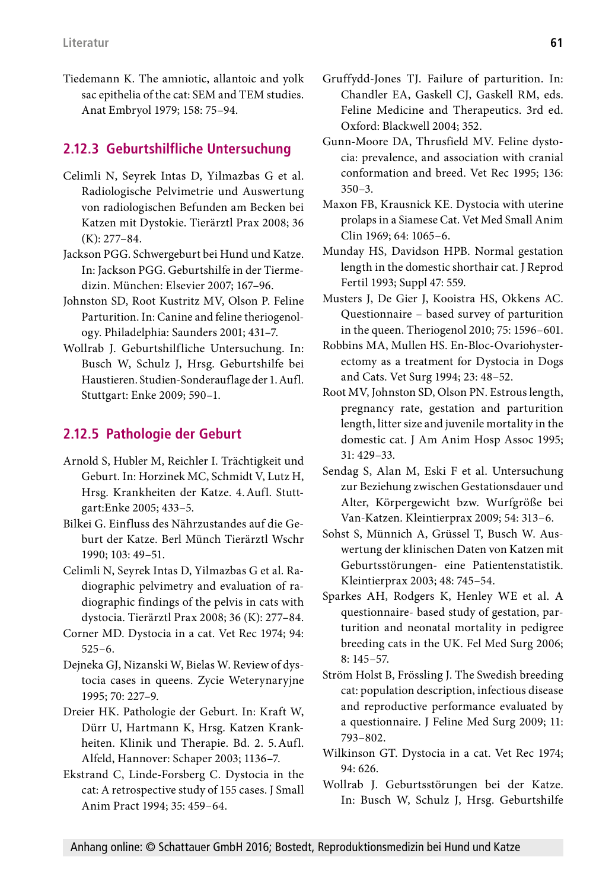Tiedemann K. The amniotic, allantoic and yolk sac epithelia of the cat: SEM and TEM studies. Anat Embryol 1979; 158: 75–94.

#### **2.12.3 Geburtshilfliche Untersuchung**

- Celimli N, Seyrek Intas D, Yilmazbas G et al. Radiologische Pelvimetrie und Auswertung von radiologischen Befunden am Becken bei Katzen mit Dystokie. Tierärztl Prax 2008; 36 (K): 277–84.
- Jackson PGG. Schwergeburt bei Hund und Katze. In: Jackson PGG. Geburtshilfe in der Tiermedizin. München: Elsevier 2007; 167–96.
- Johnston SD, Root Kustritz MV, Olson P. Feline Parturition. In: Canine and feline theriogenology. Philadelphia: Saunders 2001; 431–7.
- Wollrab J. Geburtshilfliche Untersuchung. In: Busch W, Schulz J, Hrsg. Geburtshilfe bei Haustieren. Studien-Sonderauflage der 1.Aufl. Stuttgart: Enke 2009; 590–1.

#### **2.12.5 Pathologie der Geburt**

- Arnold S, Hubler M, Reichler I. Trächtigkeit und Geburt. In: Horzinek MC, Schmidt V, Lutz H, Hrsg. Krankheiten der Katze. 4.Aufl. Stuttgart:Enke 2005; 433–5.
- Bilkei G. Einfluss des Nährzustandes auf die Geburt der Katze. Berl Münch Tierärztl Wschr 1990; 103: 49–51.
- Celimli N, Seyrek Intas D, Yilmazbas G et al. Radiographic pelvimetry and evaluation of radiographic findings of the pelvis in cats with dystocia. Tierärztl Prax 2008; 36 (K): 277–84.
- Corner MD. Dystocia in a cat. Vet Rec 1974; 94: 525–6.
- Dejneka GJ, Nizanski W, Bielas W. Review of dystocia cases in queens. Zycie Weterynaryjne 1995; 70: 227–9.
- Dreier HK. Pathologie der Geburt. In: Kraft W, Dürr U, Hartmann K, Hrsg. Katzen Krankheiten. Klinik und Therapie. Bd. 2. 5.Aufl. Alfeld, Hannover: Schaper 2003; 1136–7.
- Ekstrand C, Linde-Forsberg C. Dystocia in the cat: A retrospective study of 155 cases. J Small Anim Pract 1994; 35: 459–64.
- Gruffydd-Jones TJ. Failure of parturition. In: Chandler EA, Gaskell CJ, Gaskell RM, eds. Feline Medicine and Therapeutics. 3rd ed. Oxford: Blackwell 2004; 352.
- Gunn-Moore DA, Thrusfield MV. Feline dystocia: prevalence, and association with cranial conformation and breed. Vet Rec 1995; 136: 350–3.
- Maxon FB, Krausnick KE. Dystocia with uterine prolaps in a Siamese Cat. Vet Med Small Anim Clin 1969; 64: 1065–6.
- Munday HS, Davidson HPB. Normal gestation length in the domestic shorthair cat. J Reprod Fertil 1993; Suppl 47: 559.
- Musters J, De Gier J, Kooistra HS, Okkens AC. Questionnaire – based survey of parturition in the queen. Theriogenol 2010; 75: 1596–601.
- Robbins MA, Mullen HS. En-Bloc-Ovariohysterectomy as a treatment for Dystocia in Dogs and Cats. Vet Surg 1994; 23: 48–52.
- Root MV, Johnston SD, Olson PN. Estrous length, pregnancy rate, gestation and parturition length, litter size and juvenile mortality in the domestic cat. J Am Anim Hosp Assoc 1995; 31: 429–33.
- Sendag S, Alan M, Eski F et al. Untersuchung zur Beziehung zwischen Gestationsdauer und Alter, Körpergewicht bzw. Wurfgröße bei Van-Katzen. Kleintierprax 2009; 54: 313–6.
- Sohst S, Münnich A, Grüssel T, Busch W. Auswertung der klinischen Daten von Katzen mit Geburtsstörungen- eine Patientenstatistik. Kleintierprax 2003; 48: 745–54.
- Sparkes AH, Rodgers K, Henley WE et al. A questionnaire- based study of gestation, parturition and neonatal mortality in pedigree breeding cats in the UK. Fel Med Surg 2006; 8: 145–57.
- Ström Holst B, Frössling J. The Swedish breeding cat: population description, infectious disease and reproductive performance evaluated by a questionnaire. J Feline Med Surg 2009; 11: 793–802.
- Wilkinson GT. Dystocia in a cat. Vet Rec 1974; 94: 626.
- Wollrab J. Geburtsstörungen bei der Katze. In: Busch W, Schulz J, Hrsg. Geburtshilfe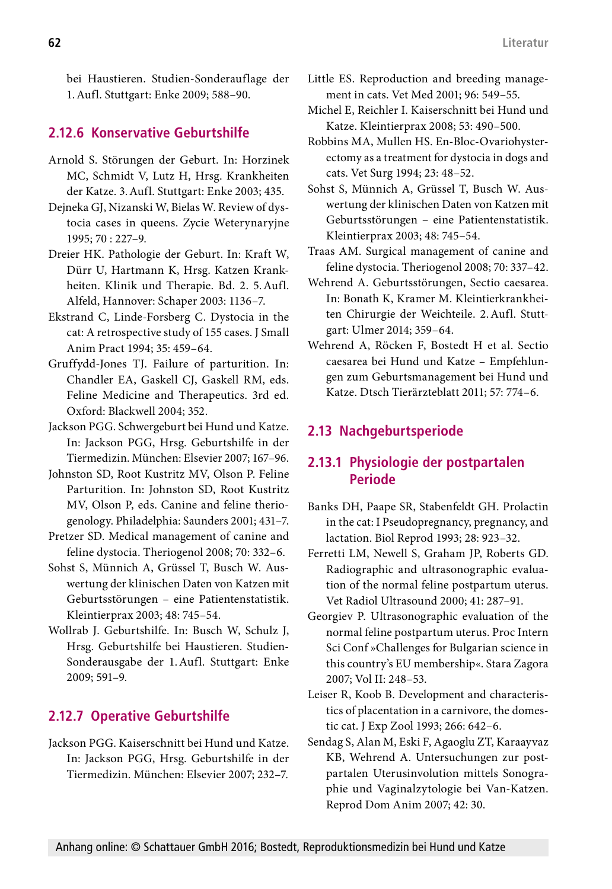bei Haustieren. Studien-Sonderauflage der 1.Aufl. Stuttgart: Enke 2009; 588–90.

#### **2.12.6 Konservative Geburtshilfe**

- Arnold S. Störungen der Geburt. In: Horzinek MC, Schmidt V, Lutz H, Hrsg. Krankheiten der Katze. 3.Aufl. Stuttgart: Enke 2003; 435.
- Dejneka GJ, Nizanski W, Bielas W. Review of dystocia cases in queens. Zycie Weterynaryjne 1995; 70 : 227–9.
- Dreier HK. Pathologie der Geburt. In: Kraft W, Dürr U, Hartmann K, Hrsg. Katzen Krankheiten. Klinik und Therapie. Bd. 2. 5.Aufl. Alfeld, Hannover: Schaper 2003: 1136–7.
- Ekstrand C, Linde-Forsberg C. Dystocia in the cat: A retrospective study of 155 cases. J Small Anim Pract 1994; 35: 459–64.
- Gruffydd-Jones TJ. Failure of parturition. In: Chandler EA, Gaskell CJ, Gaskell RM, eds. Feline Medicine and Therapeutics. 3rd ed. Oxford: Blackwell 2004; 352.
- Jackson PGG. Schwergeburt bei Hund und Katze. In: Jackson PGG, Hrsg. Geburtshilfe in der Tiermedizin. München: Elsevier 2007; 167–96.
- Johnston SD, Root Kustritz MV, Olson P. Feline Parturition. In: Johnston SD, Root Kustritz MV, Olson P, eds. Canine and feline theriogenology. Philadelphia: Saunders 2001; 431–7.
- Pretzer SD. Medical management of canine and feline dystocia. Theriogenol 2008; 70: 332–6.
- Sohst S, Münnich A, Grüssel T, Busch W. Auswertung der klinischen Daten von Katzen mit Geburtsstörungen – eine Patientenstatistik. Kleintierprax 2003; 48: 745–54.
- Wollrab J. Geburtshilfe. In: Busch W, Schulz J, Hrsg. Geburtshilfe bei Haustieren. Studien-Sonderausgabe der 1.Aufl. Stuttgart: Enke 2009; 591–9.

### **2.12.7 Operative Geburtshilfe**

Jackson PGG. Kaiserschnitt bei Hund und Katze. In: Jackson PGG, Hrsg. Geburtshilfe in der Tiermedizin. München: Elsevier 2007; 232–7.

- Little ES. Reproduction and breeding management in cats. Vet Med 2001; 96: 549–55.
- Michel E, Reichler I. Kaiserschnitt bei Hund und Katze. Kleintierprax 2008; 53: 490–500.
- Robbins MA, Mullen HS. En-Bloc-Ovariohysterectomy as a treatment for dystocia in dogs and cats. Vet Surg 1994; 23: 48–52.
- Sohst S, Münnich A, Grüssel T, Busch W. Auswertung der klinischen Daten von Katzen mit Geburtsstörungen – eine Patientenstatistik. Kleintierprax 2003; 48: 745–54.
- Traas AM. Surgical management of canine and feline dystocia. Theriogenol 2008; 70: 337–42.
- Wehrend A. Geburtsstörungen, Sectio caesarea. In: Bonath K, Kramer M. Kleintierkrankheiten Chirurgie der Weichteile. 2.Aufl. Stuttgart: Ulmer 2014; 359–64.
- Wehrend A, Röcken F, Bostedt H et al. Sectio caesarea bei Hund und Katze – Empfehlungen zum Geburtsmanagement bei Hund und Katze. Dtsch Tierärzteblatt 2011; 57: 774–6.

### **2.13 Nachgeburtsperiode**

### **2.13.1 Physiologie der postpartalen Periode**

- Banks DH, Paape SR, Stabenfeldt GH. Prolactin in the cat: I Pseudopregnancy, pregnancy, and lactation. Biol Reprod 1993; 28: 923–32.
- Ferretti LM, Newell S, Graham JP, Roberts GD. Radiographic and ultrasonographic evaluation of the normal feline postpartum uterus. Vet Radiol Ultrasound 2000; 41: 287–91.
- Georgiev P. Ultrasonographic evaluation of the normal feline postpartum uterus. Proc Intern Sci Conf »Challenges for Bulgarian science in this country's EU membership«. Stara Zagora 2007; Vol II: 248–53.
- Leiser R, Koob B. Development and characteristics of placentation in a carnivore, the domestic cat. J Exp Zool 1993; 266: 642–6.
- Sendag S, Alan M, Eski F, Agaoglu ZT, Karaayvaz KB, Wehrend A. Untersuchungen zur postpartalen Uterusinvolution mittels Sonographie und Vaginalzytologie bei Van-Katzen. Reprod Dom Anim 2007; 42: 30.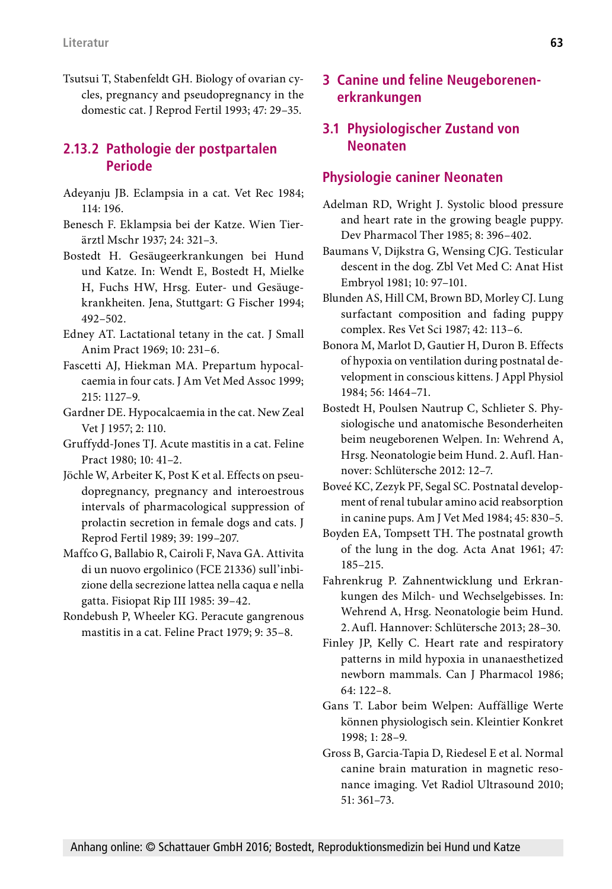Tsutsui T, Stabenfeldt GH. Biology of ovarian cycles, pregnancy and pseudopregnancy in the domestic cat. J Reprod Fertil 1993; 47: 29–35.

### **2.13.2 Pathologie der postpartalen Periode**

- Adeyanju JB. Eclampsia in a cat. Vet Rec 1984; 114: 196.
- Benesch F. Eklampsia bei der Katze. Wien Tierärztl Mschr 1937; 24: 321–3.
- Bostedt H. Gesäugeerkrankungen bei Hund und Katze. In: Wendt E, Bostedt H, Mielke H, Fuchs HW, Hrsg. Euter- und Gesäugekrankheiten. Jena, Stuttgart: G Fischer 1994; 492–502.
- Edney AT. Lactational tetany in the cat. J Small Anim Pract 1969; 10: 231–6.
- Fascetti AJ, Hiekman MA. Prepartum hypocalcaemia in four cats. J Am Vet Med Assoc 1999; 215: 1127–9.
- Gardner DE. Hypocalcaemia in the cat. New Zeal Vet J 1957; 2: 110.
- Gruffydd-Jones TJ. Acute mastitis in a cat. Feline Pract 1980; 10: 41–2.
- Jöchle W, Arbeiter K, Post K et al. Effects on pseudopregnancy, pregnancy and interoestrous intervals of pharmacological suppression of prolactin secretion in female dogs and cats. J Reprod Fertil 1989; 39: 199–207.
- Maffco G, Ballabio R, Cairoli F, Nava GA. Attivita di un nuovo ergolinico (FCE 21336) sull'inbizione della secrezione lattea nella caqua e nella gatta. Fisiopat Rip III 1985: 39–42.
- Rondebush P, Wheeler KG. Peracute gangrenous mastitis in a cat. Feline Pract 1979; 9: 35–8.

### **3 Canine und feline Neugeborenenerkrankungen**

### **3.1 Physiologischer Zustand von Neonaten**

#### **Physiologie caniner Neonaten**

- Adelman RD, Wright J. Systolic blood pressure and heart rate in the growing beagle puppy. Dev Pharmacol Ther 1985; 8: 396–402.
- Baumans V, Dijkstra G, Wensing CJG. Testicular descent in the dog. Zbl Vet Med C: Anat Hist Embryol 1981; 10: 97–101.
- Blunden AS, Hill CM, Brown BD, Morley CJ. Lung surfactant composition and fading puppy complex. Res Vet Sci 1987; 42: 113–6.
- Bonora M, Marlot D, Gautier H, Duron B. Effects of hypoxia on ventilation during postnatal development in conscious kittens. J Appl Physiol 1984; 56: 1464–71.
- Bostedt H, Poulsen Nautrup C, Schlieter S. Physiologische und anatomische Besonderheiten beim neugeborenen Welpen. In: Wehrend A, Hrsg. Neonatologie beim Hund. 2.Aufl. Hannover: Schlütersche 2012: 12–7.
- Boveé KC, Zezyk PF, Segal SC. Postnatal development of renal tubular amino acid reabsorption in canine pups. Am J Vet Med 1984; 45: 830–5.
- Boyden EA, Tompsett TH. The postnatal growth of the lung in the dog. Acta Anat 1961; 47: 185–215.
- Fahrenkrug P. Zahnentwicklung und Erkrankungen des Milch- und Wechselgebisses. In: Wehrend A, Hrsg. Neonatologie beim Hund. 2.Aufl. Hannover: Schlütersche 2013; 28–30.
- Finley JP, Kelly C. Heart rate and respiratory patterns in mild hypoxia in unanaesthetized newborn mammals. Can J Pharmacol 1986; 64: 122–8.
- Gans T. Labor beim Welpen: Auffällige Werte können physiologisch sein. Kleintier Konkret 1998; 1: 28–9.
- Gross B, Garcia-Tapia D, Riedesel E et al. Normal canine brain maturation in magnetic resonance imaging. Vet Radiol Ultrasound 2010; 51: 361–73.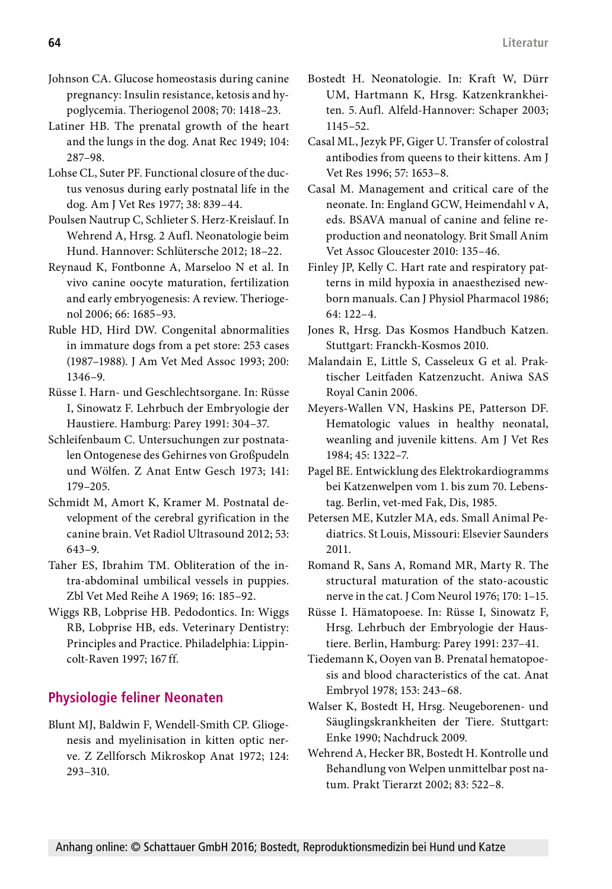- Johnson CA. Glucose homeostasis during canine pregnancy: Insulin resistance, ketosis and hypoglycemia. Theriogenol 2008; 70: 1418–23.
- Latiner HB. The prenatal growth of the heart and the lungs in the dog. Anat Rec 1949; 104: 287–98.
- Lohse CL, Suter PF. Functional closure of the ductus venosus during early postnatal life in the dog. Am J Vet Res 1977; 38: 839–44.
- Poulsen Nautrup C, Schlieter S. Herz-Kreislauf. In Wehrend A, Hrsg. 2 Aufl. Neonatologie beim Hund. Hannover: Schlütersche 2012; 18–22.
- Reynaud K, Fontbonne A, Marseloo N et al. In vivo canine oocyte maturation, fertilization and early embryogenesis: A review. Theriogenol 2006; 66: 1685–93.
- Ruble HD, Hird DW. Congenital abnormalities in immature dogs from a pet store: 253 cases (1987–1988). J Am Vet Med Assoc 1993; 200: 1346–9.
- Rüsse I. Harn- und Geschlechtsorgane. In: Rüsse I, Sinowatz F. Lehrbuch der Embryologie der Haustiere. Hamburg: Parey 1991: 304–37.
- Schleifenbaum C. Untersuchungen zur postnatalen Ontogenese des Gehirnes von Großpudeln und Wölfen. Z Anat Entw Gesch 1973; 141: 179–205.
- Schmidt M, Amort K, Kramer M. Postnatal development of the cerebral gyrification in the canine brain. Vet Radiol Ultrasound 2012; 53: 643–9.
- Taher ES, Ibrahim TM. Obliteration of the intra-abdominal umbilical vessels in puppies. Zbl Vet Med Reihe A 1969; 16: 185–92.
- Wiggs RB, Lobprise HB. Pedodontics. In: Wiggs RB, Lobprise HB, eds. Veterinary Dentistry: Principles and Practice. Philadelphia: Lippincolt-Raven 1997; 167 ff.

## **Physiologie feliner Neonaten**

Blunt MJ, Baldwin F, Wendell-Smith CP. Gliogenesis and myelinisation in kitten optic nerve. Z Zellforsch Mikroskop Anat 1972; 124: 293–310.

- Bostedt H. Neonatologie. In: Kraft W, Dürr UM, Hartmann K, Hrsg. Katzenkrankheiten. 5.Aufl. Alfeld-Hannover: Schaper 2003; 1145–52.
- Casal ML, Jezyk PF, Giger U. Transfer of colostral antibodies from queens to their kittens. Am J Vet Res 1996; 57: 1653–8.
- Casal M. Management and critical care of the neonate. In: England GCW, Heimendahl v A, eds. BSAVA manual of canine and feline reproduction and neonatology. Brit Small Anim Vet Assoc Gloucester 2010: 135–46.
- Finley JP, Kelly C. Hart rate and respiratory patterns in mild hypoxia in anaesthezised newborn manuals. Can J Physiol Pharmacol 1986; 64: 122–4.
- Jones R, Hrsg. Das Kosmos Handbuch Katzen. Stuttgart: Franckh-Kosmos 2010.
- Malandain E, Little S, Casseleux G et al. Praktischer Leitfaden Katzenzucht. Aniwa SAS Royal Canin 2006.
- Meyers-Wallen VN, Haskins PE, Patterson DF. Hematologic values in healthy neonatal, weanling and juvenile kittens. Am J Vet Res 1984; 45: 1322–7.
- Pagel BE. Entwicklung des Elektrokardiogramms bei Katzenwelpen vom 1. bis zum 70. Lebenstag. Berlin, vet-med Fak, Dis, 1985.
- Petersen ME, Kutzler MA, eds. Small Animal Pediatrics. St Louis, Missouri: Elsevier Saunders 2011.
- Romand R, Sans A, Romand MR, Marty R. The structural maturation of the stato-acoustic nerve in the cat. J Com Neurol 1976; 170: 1–15.
- Rüsse I. Hämatopoese. In: Rüsse I, Sinowatz F, Hrsg. Lehrbuch der Embryologie der Haustiere. Berlin, Hamburg: Parey 1991: 237–41.
- Tiedemann K, Ooyen van B. Prenatal hematopoesis and blood characteristics of the cat. Anat Embryol 1978; 153: 243–68.
- Walser K, Bostedt H, Hrsg. Neugeborenen- und Säuglingskrankheiten der Tiere. Stuttgart: Enke 1990; Nachdruck 2009.
- Wehrend A, Hecker BR, Bostedt H. Kontrolle und Behandlung von Welpen unmittelbar post natum. Prakt Tierarzt 2002; 83: 522–8.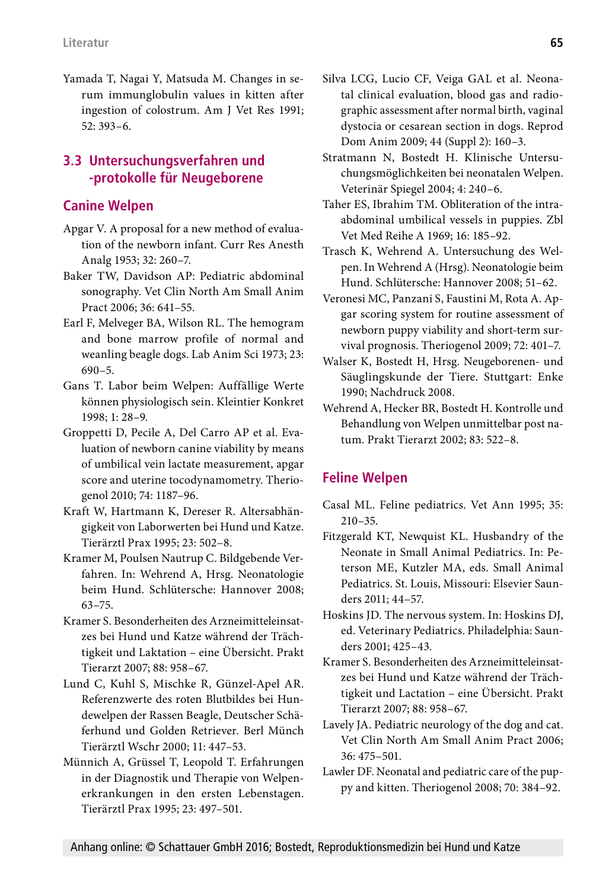Yamada T, Nagai Y, Matsuda M. Changes in serum immunglobulin values in kitten after ingestion of colostrum. Am J Vet Res 1991; 52: 393–6.

### **3.3 Untersuchungsverfahren und -protokolle für Neugeborene**

### **Canine Welpen**

- Apgar V. A proposal for a new method of evaluation of the newborn infant. Curr Res Anesth Analg 1953; 32: 260–7.
- Baker TW, Davidson AP: Pediatric abdominal sonography. Vet Clin North Am Small Anim Pract 2006; 36: 641–55.
- Earl F, Melveger BA, Wilson RL. The hemogram and bone marrow profile of normal and weanling beagle dogs. Lab Anim Sci 1973; 23: 690–5.
- Gans T. Labor beim Welpen: Auffällige Werte können physiologisch sein. Kleintier Konkret 1998; 1: 28–9.
- Groppetti D, Pecile A, Del Carro AP et al. Evaluation of newborn canine viability by means of umbilical vein lactate measurement, apgar score and uterine tocodynamometry. Theriogenol 2010; 74: 1187–96.
- Kraft W, Hartmann K, Dereser R. Altersabhängigkeit von Laborwerten bei Hund und Katze. Tierärztl Prax 1995; 23: 502–8.
- Kramer M, Poulsen Nautrup C. Bildgebende Verfahren. In: Wehrend A, Hrsg. Neonatologie beim Hund. Schlütersche: Hannover 2008; 63–75.
- Kramer S. Besonderheiten des Arzneimitteleinsatzes bei Hund und Katze während der Trächtigkeit und Laktation – eine Übersicht. Prakt Tierarzt 2007; 88: 958–67.
- Lund C, Kuhl S, Mischke R, Günzel-Apel AR. Referenzwerte des roten Blutbildes bei Hundewelpen der Rassen Beagle, Deutscher Schäferhund und Golden Retriever. Berl Münch Tierärztl Wschr 2000; 11: 447–53.
- Münnich A, Grüssel T, Leopold T. Erfahrungen in der Diagnostik und Therapie von Welpenerkrankungen in den ersten Lebenstagen. Tierärztl Prax 1995; 23: 497–501.
- Silva LCG, Lucio CF, Veiga GAL et al. Neonatal clinical evaluation, blood gas and radiographic assessment after normal birth, vaginal dystocia or cesarean section in dogs. Reprod Dom Anim 2009; 44 (Suppl 2): 160–3.
- Stratmann N, Bostedt H. Klinische Untersuchungsmöglichkeiten bei neonatalen Welpen. Veterinär Spiegel 2004; 4: 240–6.
- Taher ES, Ibrahim TM. Obliteration of the intraabdominal umbilical vessels in puppies. Zbl Vet Med Reihe A 1969; 16: 185–92.
- Trasch K, Wehrend A. Untersuchung des Welpen. In Wehrend A (Hrsg). Neonatologie beim Hund. Schlütersche: Hannover 2008; 51–62.
- Veronesi MC, Panzani S, Faustini M, Rota A. Apgar scoring system for routine assessment of newborn puppy viability and short-term survival prognosis. Theriogenol 2009; 72: 401–7.
- Walser K, Bostedt H, Hrsg. Neugeborenen- und Säuglingskunde der Tiere. Stuttgart: Enke 1990; Nachdruck 2008.
- Wehrend A, Hecker BR, Bostedt H. Kontrolle und Behandlung von Welpen unmittelbar post natum. Prakt Tierarzt 2002; 83: 522–8.

# **Feline Welpen**

- Casal ML. Feline pediatrics. Vet Ann 1995; 35: 210–35.
- Fitzgerald KT, Newquist KL. Husbandry of the Neonate in Small Animal Pediatrics. In: Peterson ME, Kutzler MA, eds. Small Animal Pediatrics. St. Louis, Missouri: Elsevier Saunders 2011; 44–57.
- Hoskins JD. The nervous system. In: Hoskins DJ, ed. Veterinary Pediatrics. Philadelphia: Saunders 2001; 425–43.
- Kramer S. Besonderheiten des Arzneimitteleinsatzes bei Hund und Katze während der Trächtigkeit und Lactation – eine Übersicht. Prakt Tierarzt 2007; 88: 958–67.
- Lavely JA. Pediatric neurology of the dog and cat. Vet Clin North Am Small Anim Pract 2006; 36: 475–501.
- Lawler DF. Neonatal and pediatric care of the puppy and kitten. Theriogenol 2008; 70: 384–92.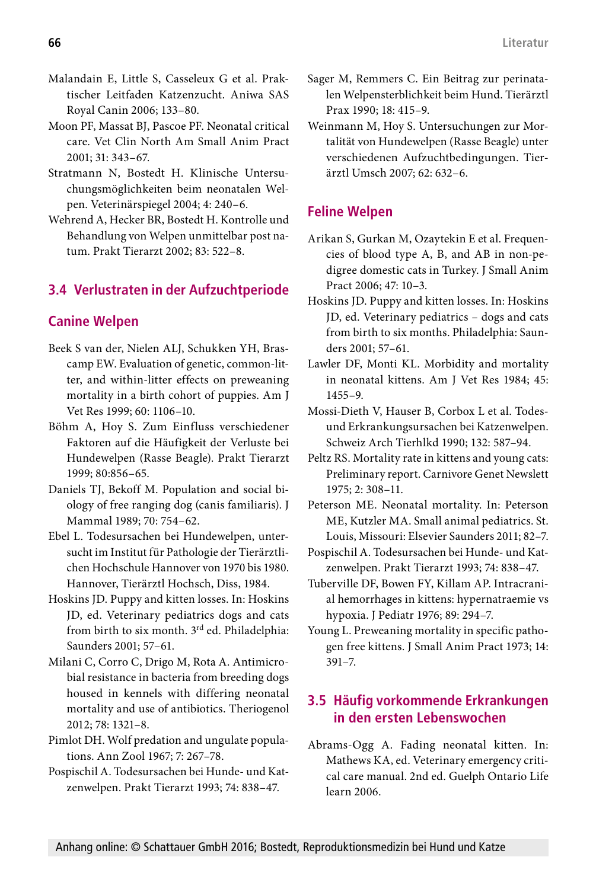- Malandain E, Little S, Casseleux G et al. Praktischer Leitfaden Katzenzucht. Aniwa SAS Royal Canin 2006; 133–80.
- Moon PF, Massat BJ, Pascoe PF. Neonatal critical care. Vet Clin North Am Small Anim Pract 2001; 31: 343–67.
- Stratmann N, Bostedt H. Klinische Untersuchungsmöglichkeiten beim neonatalen Welpen. Veterinärspiegel 2004; 4: 240–6.
- Wehrend A, Hecker BR, Bostedt H. Kontrolle und Behandlung von Welpen unmittelbar post natum. Prakt Tierarzt 2002; 83: 522–8.

## **3.4 Verlustraten in der Aufzuchtperiode**

### **Canine Welpen**

- Beek S van der, Nielen ALJ, Schukken YH, Brascamp EW. Evaluation of genetic, common-litter, and within-litter effects on preweaning mortality in a birth cohort of puppies. Am J Vet Res 1999; 60: 1106–10.
- Böhm A, Hoy S. Zum Einfluss verschiedener Faktoren auf die Häufigkeit der Verluste bei Hundewelpen (Rasse Beagle). Prakt Tierarzt 1999; 80:856–65.
- Daniels TJ, Bekoff M. Population and social biology of free ranging dog (canis familiaris). J Mammal 1989; 70: 754–62.
- Ebel L. Todesursachen bei Hundewelpen, untersucht im Institut für Pathologie der Tierärztlichen Hochschule Hannover von 1970 bis 1980. Hannover, Tierärztl Hochsch, Diss, 1984.
- Hoskins JD. Puppy and kitten losses. In: Hoskins JD, ed. Veterinary pediatrics dogs and cats from birth to six month. 3<sup>rd</sup> ed. Philadelphia: Saunders 2001; 57–61.
- Milani C, Corro C, Drigo M, Rota A. Antimicrobial resistance in bacteria from breeding dogs housed in kennels with differing neonatal mortality and use of antibiotics. Theriogenol 2012; 78: 1321–8.
- Pimlot DH. Wolf predation and ungulate populations. Ann Zool 1967; 7: 267–78.
- Pospischil A. Todesursachen bei Hunde- und Katzenwelpen. Prakt Tierarzt 1993; 74: 838–47.
- Sager M, Remmers C. Ein Beitrag zur perinatalen Welpensterblichkeit beim Hund. Tierärztl Prax 1990; 18: 415–9.
- Weinmann M, Hoy S. Untersuchungen zur Mortalität von Hundewelpen (Rasse Beagle) unter verschiedenen Aufzuchtbedingungen. Tierärztl Umsch 2007; 62: 632–6.

## **Feline Welpen**

- Arikan S, Gurkan M, Ozaytekin E et al. Frequencies of blood type A, B, and AB in non-pedigree domestic cats in Turkey. J Small Anim Pract 2006; 47: 10–3.
- Hoskins JD. Puppy and kitten losses. In: Hoskins JD, ed. Veterinary pediatrics – dogs and cats from birth to six months. Philadelphia: Saunders 2001; 57–61.
- Lawler DF, Monti KL. Morbidity and mortality in neonatal kittens. Am J Vet Res 1984; 45: 1455–9.
- Mossi-Dieth V, Hauser B, Corbox L et al. Todesund Erkrankungsursachen bei Katzenwelpen. Schweiz Arch Tierhlkd 1990; 132: 587–94.
- Peltz RS. Mortality rate in kittens and young cats: Preliminary report. Carnivore Genet Newslett 1975; 2: 308–11.
- Peterson ME. Neonatal mortality. In: Peterson ME, Kutzler MA. Small animal pediatrics. St. Louis, Missouri: Elsevier Saunders 2011; 82–7.
- Pospischil A. Todesursachen bei Hunde- und Katzenwelpen. Prakt Tierarzt 1993; 74: 838–47.
- Tuberville DF, Bowen FY, Killam AP. Intracranial hemorrhages in kittens: hypernatraemie vs hypoxia. J Pediatr 1976; 89: 294–7.
- Young L. Preweaning mortality in specific pathogen free kittens. J Small Anim Pract 1973; 14: 391–7.

### **3.5 Häufig vorkommende Erkrankungen in den ersten Lebenswochen**

Abrams-Ogg A. Fading neonatal kitten. In: Mathews KA, ed. Veterinary emergency critical care manual. 2nd ed. Guelph Ontario Life learn 2006.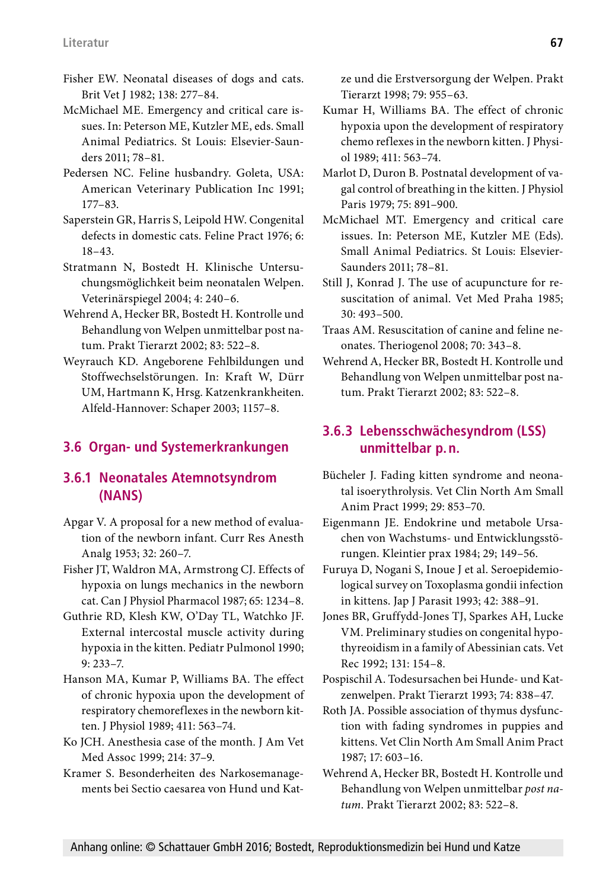- Fisher EW. Neonatal diseases of dogs and cats. Brit Vet J 1982; 138: 277–84.
- McMichael ME. Emergency and critical care issues. In: Peterson ME, Kutzler ME, eds. Small Animal Pediatrics. St Louis: Elsevier-Saunders 2011; 78–81.
- Pedersen NC. Feline husbandry. Goleta, USA: American Veterinary Publication Inc 1991; 177–83.
- Saperstein GR, Harris S, Leipold HW. Congenital defects in domestic cats. Feline Pract 1976; 6: 18–43.
- Stratmann N, Bostedt H. Klinische Untersuchungsmöglichkeit beim neonatalen Welpen. Veterinärspiegel 2004; 4: 240–6.
- Wehrend A, Hecker BR, Bostedt H. Kontrolle und Behandlung von Welpen unmittelbar post natum. Prakt Tierarzt 2002; 83: 522–8.
- Weyrauch KD. Angeborene Fehlbildungen und Stoffwechselstörungen. In: Kraft W, Dürr UM, Hartmann K, Hrsg. Katzenkrankheiten. Alfeld-Hannover: Schaper 2003; 1157–8.

# **3.6 Organ- und Systemerkrankungen**

### **3.6.1 Neonatales Atemnotsyndrom (NANS)**

- Apgar V. A proposal for a new method of evaluation of the newborn infant. Curr Res Anesth Analg 1953; 32: 260–7.
- Fisher JT, Waldron MA, Armstrong CJ. Effects of hypoxia on lungs mechanics in the newborn cat. Can J Physiol Pharmacol 1987; 65: 1234–8.
- Guthrie RD, Klesh KW, O'Day TL, Watchko JF. External intercostal muscle activity during hypoxia in the kitten. Pediatr Pulmonol 1990; 9: 233–7.
- Hanson MA, Kumar P, Williams BA. The effect of chronic hypoxia upon the development of respiratory chemoreflexes in the newborn kitten. J Physiol 1989; 411: 563–74.
- Ko JCH. Anesthesia case of the month. J Am Vet Med Assoc 1999; 214: 37–9.
- Kramer S. Besonderheiten des Narkosemanagements bei Sectio caesarea von Hund und Kat-

ze und die Erstversorgung der Welpen. Prakt Tierarzt 1998; 79: 955–63.

- Kumar H, Williams BA. The effect of chronic hypoxia upon the development of respiratory chemo reflexes in the newborn kitten. J Physiol 1989; 411: 563–74.
- Marlot D, Duron B. Postnatal development of vagal control of breathing in the kitten. J Physiol Paris 1979; 75: 891–900.
- McMichael MT. Emergency and critical care issues. In: Peterson ME, Kutzler ME (Eds). Small Animal Pediatrics. St Louis: Elsevier-Saunders 2011; 78–81.
- Still J, Konrad J. The use of acupuncture for resuscitation of animal. Vet Med Praha 1985; 30: 493–500.
- Traas AM. Resuscitation of canine and feline neonates. Theriogenol 2008; 70: 343–8.
- Wehrend A, Hecker BR, Bostedt H. Kontrolle und Behandlung von Welpen unmittelbar post natum. Prakt Tierarzt 2002; 83: 522–8.

## **3.6.3 Lebensschwächesyndrom (LSS) unmittelbar p.n.**

- Bücheler J. Fading kitten syndrome and neonatal isoerythrolysis. Vet Clin North Am Small Anim Pract 1999; 29: 853–70.
- Eigenmann JE. Endokrine und metabole Ursachen von Wachstums- und Entwicklungsstörungen. Kleintier prax 1984; 29; 149–56.
- Furuya D, Nogani S, Inoue J et al. Seroepidemiological survey on Toxoplasma gondii infection in kittens. Jap J Parasit 1993; 42: 388–91.
- Jones BR, Gruffydd-Jones TJ, Sparkes AH, Lucke VM. Preliminary studies on congenital hypothyreoidism in a family of Abessinian cats. Vet Rec 1992; 131: 154–8.
- Pospischil A. Todesursachen bei Hunde- und Katzenwelpen. Prakt Tierarzt 1993; 74: 838–47.
- Roth JA. Possible association of thymus dysfunction with fading syndromes in puppies and kittens. Vet Clin North Am Small Anim Pract 1987; 17: 603–16.
- Wehrend A, Hecker BR, Bostedt H. Kontrolle und Behandlung von Welpen unmittelbar *post natum*. Prakt Tierarzt 2002; 83: 522–8.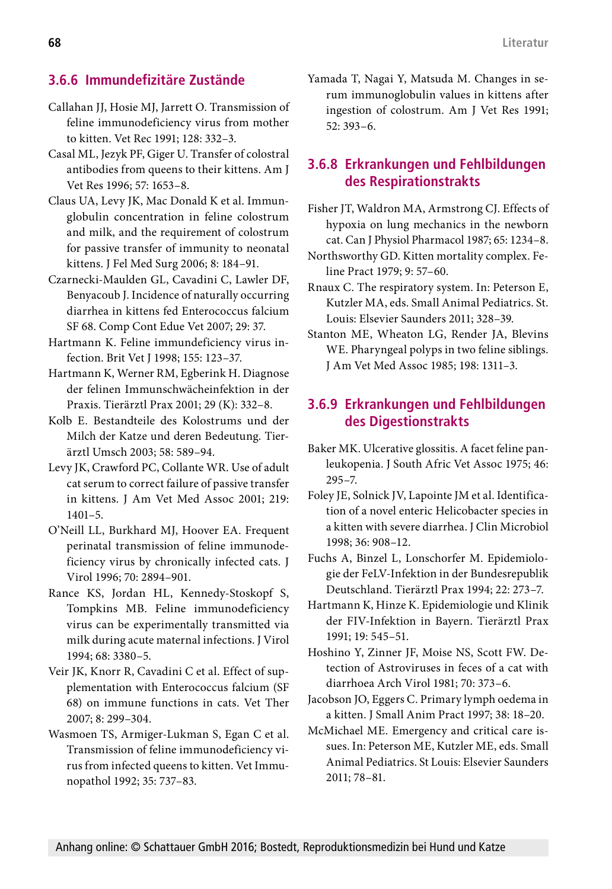### **3.6.6 Immundefizitäre Zustände**

- Callahan JJ, Hosie MJ, Jarrett O. Transmission of feline immunodeficiency virus from mother to kitten. Vet Rec 1991; 128: 332–3.
- Casal ML, Jezyk PF, Giger U. Transfer of colostral antibodies from queens to their kittens. Am J Vet Res 1996; 57: 1653–8.
- Claus UA, Levy JK, Mac Donald K et al. Immunglobulin concentration in feline colostrum and milk, and the requirement of colostrum for passive transfer of immunity to neonatal kittens. J Fel Med Surg 2006; 8: 184–91.
- Czarnecki-Maulden GL, Cavadini C, Lawler DF, Benyacoub J. Incidence of naturally occurring diarrhea in kittens fed Enterococcus falcium SF 68. Comp Cont Edue Vet 2007; 29: 37.
- Hartmann K. Feline immundeficiency virus infection. Brit Vet J 1998; 155: 123–37.
- Hartmann K, Werner RM, Egberink H. Diagnose der felinen Immunschwächeinfektion in der Praxis. Tierärztl Prax 2001; 29 (K): 332–8.
- Kolb E. Bestandteile des Kolostrums und der Milch der Katze und deren Bedeutung. Tierärztl Umsch 2003; 58: 589–94.
- Levy JK, Crawford PC, Collante WR. Use of adult cat serum to correct failure of passive transfer in kittens. J Am Vet Med Assoc 2001; 219: 1401–5.
- O'Neill LL, Burkhard MJ, Hoover EA. Frequent perinatal transmission of feline immunodeficiency virus by chronically infected cats. J Virol 1996; 70: 2894–901.
- Rance KS, Jordan HL, Kennedy-Stoskopf S, Tompkins MB. Feline immunodeficiency virus can be experimentally transmitted via milk during acute maternal infections. J Virol 1994; 68: 3380–5.
- Veir JK, Knorr R, Cavadini C et al. Effect of supplementation with Enterococcus falcium (SF 68) on immune functions in cats. Vet Ther 2007; 8: 299–304.
- Wasmoen TS, Armiger-Lukman S, Egan C et al. Transmission of feline immunodeficiency virus from infected queens to kitten. Vet Immunopathol 1992; 35: 737–83.

Yamada T, Nagai Y, Matsuda M. Changes in serum immunoglobulin values in kittens after ingestion of colostrum. Am J Vet Res 1991; 52: 393–6.

### **3.6.8 Erkrankungen und Fehlbildungen des Respirationstrakts**

- Fisher JT, Waldron MA, Armstrong CJ. Effects of hypoxia on lung mechanics in the newborn cat. Can J Physiol Pharmacol 1987; 65: 1234–8.
- Northsworthy GD. Kitten mortality complex. Feline Pract 1979; 9: 57–60.
- Rnaux C. The respiratory system. In: Peterson E, Kutzler MA, eds. Small Animal Pediatrics. St. Louis: Elsevier Saunders 2011; 328–39.
- Stanton ME, Wheaton LG, Render JA, Blevins WE. Pharyngeal polyps in two feline siblings. J Am Vet Med Assoc 1985; 198: 1311–3.

### **3.6.9 Erkrankungen und Fehlbildungen des Digestionstrakts**

- Baker MK. Ulcerative glossitis. A facet feline panleukopenia. J South Afric Vet Assoc 1975; 46: 295–7.
- Foley JE, Solnick JV, Lapointe JM et al. Identification of a novel enteric Helicobacter species in a kitten with severe diarrhea. J Clin Microbiol 1998; 36: 908–12.
- Fuchs A, Binzel L, Lonschorfer M. Epidemiologie der FeLV-Infektion in der Bundesrepublik Deutschland. Tierärztl Prax 1994; 22: 273–7.
- Hartmann K, Hinze K. Epidemiologie und Klinik der FIV-Infektion in Bayern. Tierärztl Prax 1991; 19: 545–51.
- Hoshino Y, Zinner JF, Moise NS, Scott FW. Detection of Astroviruses in feces of a cat with diarrhoea Arch Virol 1981; 70: 373–6.
- Jacobson JO, Eggers C. Primary lymph oedema in a kitten. J Small Anim Pract 1997; 38: 18–20.
- McMichael ME. Emergency and critical care issues. In: Peterson ME, Kutzler ME, eds. Small Animal Pediatrics. St Louis: Elsevier Saunders 2011; 78–81.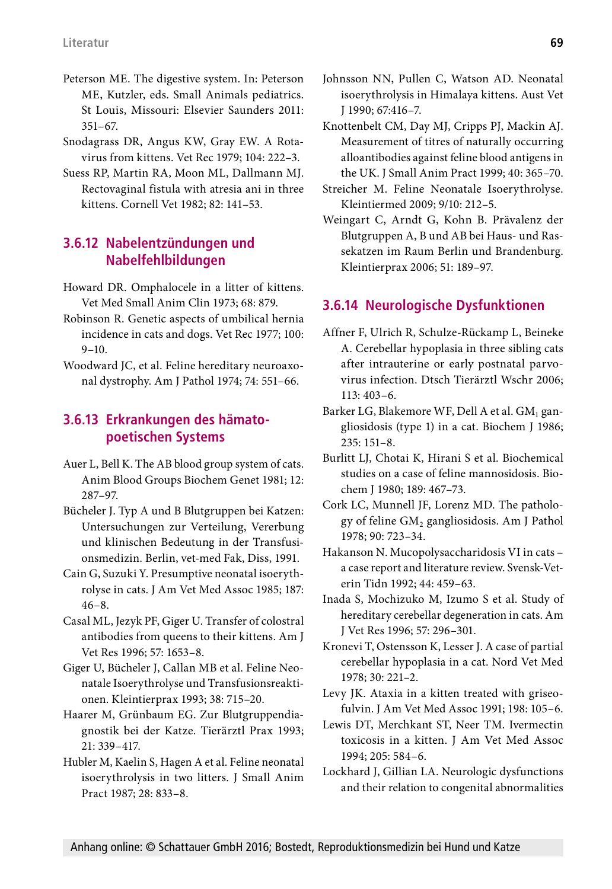- Peterson ME. The digestive system. In: Peterson ME, Kutzler, eds. Small Animals pediatrics. St Louis, Missouri: Elsevier Saunders 2011: 351–67.
- Snodagrass DR, Angus KW, Gray EW. A Rotavirus from kittens. Vet Rec 1979; 104: 222–3.
- Suess RP, Martin RA, Moon ML, Dallmann MJ. Rectovaginal fistula with atresia ani in three kittens. Cornell Vet 1982; 82: 141–53.

### **3.6.12 Nabelentzündungen und Nabelfehlbildungen**

- Howard DR. Omphalocele in a litter of kittens. Vet Med Small Anim Clin 1973; 68: 879.
- Robinson R. Genetic aspects of umbilical hernia incidence in cats and dogs. Vet Rec 1977; 100:  $9-10.$
- Woodward JC, et al. Feline hereditary neuroaxonal dystrophy. Am J Pathol 1974; 74: 551–66.

#### **3.6.13 Erkrankungen des hämatopoetischen Systems**

- Auer L, Bell K. The AB blood group system of cats. Anim Blood Groups Biochem Genet 1981; 12: 287–97.
- Bücheler J. Typ A und B Blutgruppen bei Katzen: Untersuchungen zur Verteilung, Vererbung und klinischen Bedeutung in der Transfusionsmedizin. Berlin, vet-med Fak, Diss, 1991.
- Cain G, Suzuki Y. Presumptive neonatal isoerythrolyse in cats. J Am Vet Med Assoc 1985; 187: 46–8.
- Casal ML, Jezyk PF, Giger U. Transfer of colostral antibodies from queens to their kittens. Am J Vet Res 1996; 57: 1653–8.
- Giger U, Bücheler J, Callan MB et al. Feline Neonatale Isoerythrolyse und Transfusionsreaktionen. Kleintierprax 1993; 38: 715–20.
- Haarer M, Grünbaum EG. Zur Blutgruppendiagnostik bei der Katze. Tierärztl Prax 1993; 21: 339–417.
- Hubler M, Kaelin S, Hagen A et al. Feline neonatal isoerythrolysis in two litters. J Small Anim Pract 1987; 28: 833–8.
- Johnsson NN, Pullen C, Watson AD. Neonatal isoerythrolysis in Himalaya kittens. Aust Vet J 1990; 67:416–7.
- Knottenbelt CM, Day MJ, Cripps PJ, Mackin AJ. Measurement of titres of naturally occurring alloantibodies against feline blood antigens in the UK. J Small Anim Pract 1999; 40: 365–70.
- Streicher M. Feline Neonatale Isoerythrolyse. Kleintiermed 2009; 9/10: 212–5.
- Weingart C, Arndt G, Kohn B. Prävalenz der Blutgruppen A, B und AB bei Haus- und Rassekatzen im Raum Berlin und Brandenburg. Kleintierprax 2006; 51: 189–97.

### **3.6.14 Neurologische Dysfunktionen**

- Affner F, Ulrich R, Schulze-Rückamp L, Beineke A. Cerebellar hypoplasia in three sibling cats after intrauterine or early postnatal parvovirus infection. Dtsch Tierärztl Wschr 2006; 113: 403–6.
- Barker LG, Blakemore WF, Dell A et al.  $GM<sub>1</sub>$  gangliosidosis (type 1) in a cat. Biochem J 1986; 235: 151–8.
- Burlitt LJ, Chotai K, Hirani S et al. Biochemical studies on a case of feline mannosidosis. Biochem J 1980; 189: 467–73.
- Cork LC, Munnell JF, Lorenz MD. The pathology of feline GM<sub>2</sub> gangliosidosis. Am J Pathol 1978; 90: 723–34.
- Hakanson N. Mucopolysaccharidosis VI in cats a case report and literature review. Svensk-Veterin Tidn 1992; 44: 459–63.
- Inada S, Mochizuko M, Izumo S et al. Study of hereditary cerebellar degeneration in cats. Am J Vet Res 1996; 57: 296–301.
- Kronevi T, Ostensson K, Lesser J. A case of partial cerebellar hypoplasia in a cat. Nord Vet Med 1978; 30: 221–2.
- Levy JK. Ataxia in a kitten treated with griseofulvin. J Am Vet Med Assoc 1991; 198: 105–6.
- Lewis DT, Merchkant ST, Neer TM. Ivermectin toxicosis in a kitten. J Am Vet Med Assoc 1994; 205: 584–6.
- Lockhard J, Gillian LA. Neurologic dysfunctions and their relation to congenital abnormalities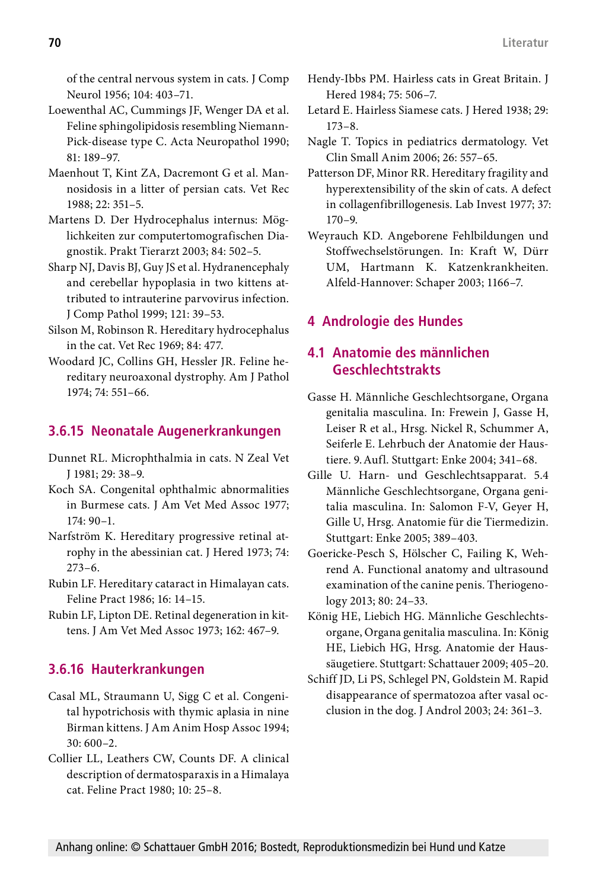of the central nervous system in cats. J Comp Neurol 1956; 104: 403–71.

- Loewenthal AC, Cummings JF, Wenger DA et al. Feline sphingolipidosis resembling Niemann-Pick-disease type C. Acta Neuropathol 1990; 81: 189–97.
- Maenhout T, Kint ZA, Dacremont G et al. Mannosidosis in a litter of persian cats. Vet Rec 1988; 22: 351–5.
- Martens D. Der Hydrocephalus internus: Möglichkeiten zur computertomografischen Diagnostik. Prakt Tierarzt 2003; 84: 502–5.
- Sharp NJ, Davis BJ, Guy JS et al. Hydranencephaly and cerebellar hypoplasia in two kittens attributed to intrauterine parvovirus infection. J Comp Pathol 1999; 121: 39–53.
- Silson M, Robinson R. Hereditary hydrocephalus in the cat. Vet Rec 1969; 84: 477.
- Woodard JC, Collins GH, Hessler JR. Feline hereditary neuroaxonal dystrophy. Am J Pathol 1974; 74: 551–66.

## **3.6.15 Neonatale Augenerkrankungen**

- Dunnet RL. Microphthalmia in cats. N Zeal Vet J 1981; 29: 38–9.
- Koch SA. Congenital ophthalmic abnormalities in Burmese cats. J Am Vet Med Assoc 1977; 174: 90–1.
- Narfström K. Hereditary progressive retinal atrophy in the abessinian cat. J Hered 1973; 74: 273–6.
- Rubin LF. Hereditary cataract in Himalayan cats. Feline Pract 1986; 16: 14–15.
- Rubin LF, Lipton DE. Retinal degeneration in kittens. J Am Vet Med Assoc 1973; 162: 467–9.

### **3.6.16 Hauterkrankungen**

- Casal ML, Straumann U, Sigg C et al. Congenital hypotrichosis with thymic aplasia in nine Birman kittens. J Am Anim Hosp Assoc 1994; 30: 600–2.
- Collier LL, Leathers CW, Counts DF. A clinical description of dermatosparaxis in a Himalaya cat. Feline Pract 1980; 10: 25–8.
- Hendy-Ibbs PM. Hairless cats in Great Britain. J Hered 1984; 75: 506–7.
- Letard E. Hairless Siamese cats. J Hered 1938; 29: 173–8.
- Nagle T. Topics in pediatrics dermatology. Vet Clin Small Anim 2006; 26: 557–65.
- Patterson DF, Minor RR. Hereditary fragility and hyperextensibility of the skin of cats. A defect in collagenfibrillogenesis. Lab Invest 1977; 37: 170–9.
- Weyrauch KD. Angeborene Fehlbildungen und Stoffwechselstörungen. In: Kraft W, Dürr UM, Hartmann K. Katzenkrankheiten. Alfeld-Hannover: Schaper 2003; 1166–7.

## **4 Andrologie des Hundes**

### **4.1 Anatomie des männlichen Geschlechtstrakts**

- Gasse H. Männliche Geschlechtsorgane, Organa genitalia masculina. In: Frewein J, Gasse H, Leiser R et al., Hrsg. Nickel R, Schummer A, Seiferle E. Lehrbuch der Anatomie der Haustiere. 9.Aufl. Stuttgart: Enke 2004; 341–68.
- Gille U. Harn- und Geschlechtsapparat. 5.4 Männliche Geschlechtsorgane, Organa genitalia masculina. In: Salomon F-V, Geyer H, Gille U, Hrsg. Anatomie für die Tiermedizin. Stuttgart: Enke 2005; 389–403.
- Goericke-Pesch S, Hölscher C, Failing K, Wehrend A. Functional anatomy and ultrasound examination of the canine penis. Theriogenology 2013; 80: 24–33.
- König HE, Liebich HG. Männliche Geschlechtsorgane, Organa genitalia masculina. In: König HE, Liebich HG, Hrsg. Anatomie der Haussäugetiere. Stuttgart: Schattauer 2009; 405–20.
- Schiff JD, Li PS, Schlegel PN, Goldstein M. Rapid disappearance of spermatozoa after vasal occlusion in the dog. J Androl 2003; 24: 361–3.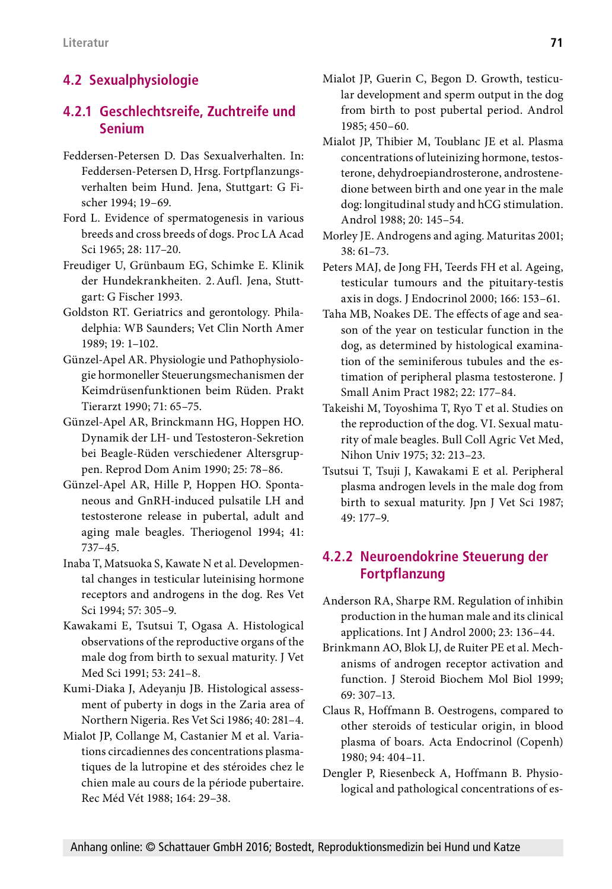# **4.2 Sexualphysiologie**

### **4.2.1 Geschlechtsreife, Zuchtreife und Senium**

- Feddersen-Petersen D. Das Sexualverhalten. In: Feddersen-Petersen D, Hrsg. Fortpflanzungsverhalten beim Hund. Jena, Stuttgart: G Fischer 1994; 19–69.
- Ford L. Evidence of spermatogenesis in various breeds and cross breeds of dogs. Proc LA Acad Sci 1965; 28: 117–20.
- Freudiger U, Grünbaum EG, Schimke E. Klinik der Hundekrankheiten. 2.Aufl. Jena, Stuttgart: G Fischer 1993.
- Goldston RT. Geriatrics and gerontology. Philadelphia: WB Saunders; Vet Clin North Amer 1989; 19: 1–102.
- Günzel-Apel AR. Physiologie und Pathophysiologie hormoneller Steuerungsmechanismen der Keimdrüsenfunktionen beim Rüden. Prakt Tierarzt 1990; 71: 65–75.
- Günzel-Apel AR, Brinckmann HG, Hoppen HO. Dynamik der LH- und Testosteron-Sekretion bei Beagle-Rüden verschiedener Altersgruppen. Reprod Dom Anim 1990; 25: 78–86.
- Günzel-Apel AR, Hille P, Hoppen HO. Spontaneous and GnRH-induced pulsatile LH and testosterone release in pubertal, adult and aging male beagles. Theriogenol 1994; 41: 737–45.
- Inaba T, Matsuoka S, Kawate N et al. Developmental changes in testicular luteinising hormone receptors and androgens in the dog. Res Vet Sci 1994; 57: 305–9.
- Kawakami E, Tsutsui T, Ogasa A. Histological observations of the reproductive organs of the male dog from birth to sexual maturity. J Vet Med Sci 1991; 53: 241–8.
- Kumi-Diaka J, Adeyanju JB. Histological assessment of puberty in dogs in the Zaria area of Northern Nigeria. Res Vet Sci 1986; 40: 281–4.
- Mialot JP, Collange M, Castanier M et al. Variations circadiennes des concentrations plasmatiques de la lutropine et des stéroides chez le chien male au cours de la période pubertaire. Rec Méd Vét 1988; 164: 29–38.
- Mialot JP, Guerin C, Begon D. Growth, testicular development and sperm output in the dog from birth to post pubertal period. Androl 1985; 450–60.
- Mialot JP, Thibier M, Toublanc JE et al. Plasma concentrations of luteinizing hormone, testosterone, dehydroepiandrosterone, androstenedione between birth and one year in the male dog: longitudinal study and hCG stimulation. Androl 1988; 20: 145–54.
- Morley JE. Androgens and aging. Maturitas 2001; 38: 61–73.
- Peters MAJ, de Jong FH, Teerds FH et al. Ageing, testicular tumours and the pituitary-testis axis in dogs. J Endocrinol 2000; 166: 153–61.
- Taha MB, Noakes DE. The effects of age and season of the year on testicular function in the dog, as determined by histological examination of the seminiferous tubules and the estimation of peripheral plasma testosterone. J Small Anim Pract 1982; 22: 177–84.
- Takeishi M, Toyoshima T, Ryo T et al. Studies on the reproduction of the dog. VI. Sexual maturity of male beagles. Bull Coll Agric Vet Med, Nihon Univ 1975; 32: 213–23.
- Tsutsui T, Tsuji J, Kawakami E et al. Peripheral plasma androgen levels in the male dog from birth to sexual maturity. Jpn J Vet Sci 1987; 49: 177–9.

### **4.2.2 Neuroendokrine Steuerung der Fortpflanzung**

- Anderson RA, Sharpe RM. Regulation of inhibin production in the human male and its clinical applications. Int J Androl 2000; 23: 136–44.
- Brinkmann AO, Blok LJ, de Ruiter PE et al. Mechanisms of androgen receptor activation and function. J Steroid Biochem Mol Biol 1999; 69: 307–13.
- Claus R, Hoffmann B. Oestrogens, compared to other steroids of testicular origin, in blood plasma of boars. Acta Endocrinol (Copenh) 1980; 94: 404–11.
- Dengler P, Riesenbeck A, Hoffmann B. Physiological and pathological concentrations of es-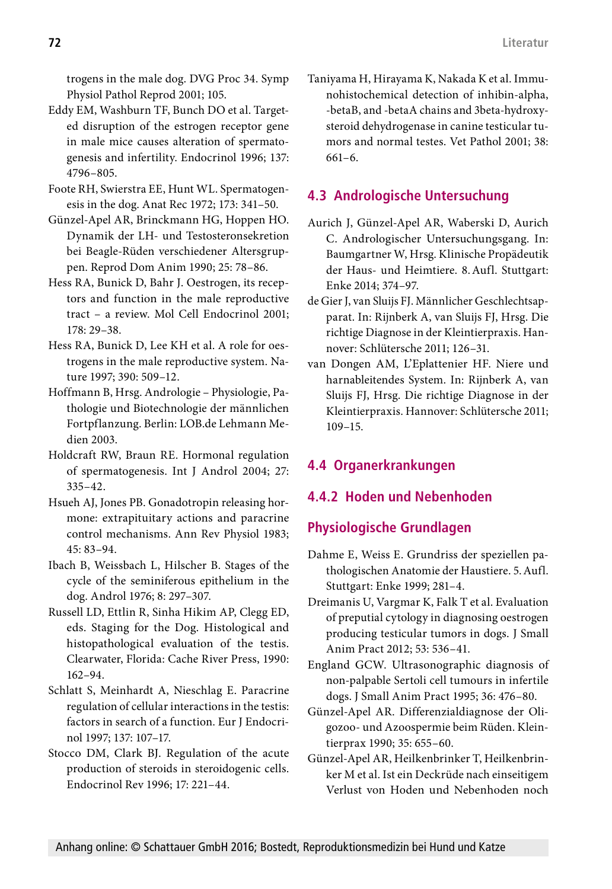trogens in the male dog. DVG Proc 34. Symp Physiol Pathol Reprod 2001; 105.

- Eddy EM, Washburn TF, Bunch DO et al. Targeted disruption of the estrogen receptor gene in male mice causes alteration of spermatogenesis and infertility. Endocrinol 1996; 137: 4796–805.
- Foote RH, Swierstra EE, Hunt WL. Spermatogenesis in the dog. Anat Rec 1972; 173: 341–50.
- Günzel-Apel AR, Brinckmann HG, Hoppen HO. Dynamik der LH- und Testosteronsekretion bei Beagle-Rüden verschiedener Altersgruppen. Reprod Dom Anim 1990; 25: 78–86.
- Hess RA, Bunick D, Bahr J. Oestrogen, its receptors and function in the male reproductive tract – a review. Mol Cell Endocrinol 2001; 178: 29–38.
- Hess RA, Bunick D, Lee KH et al. A role for oestrogens in the male reproductive system. Nature 1997; 390: 509–12.
- Hoffmann B, Hrsg. Andrologie Physiologie, Pathologie und Biotechnologie der männlichen Fortpflanzung. Berlin: LOB.de Lehmann Medien 2003.
- Holdcraft RW, Braun RE. Hormonal regulation of spermatogenesis. Int J Androl 2004; 27: 335–42.
- Hsueh AJ, Jones PB. Gonadotropin releasing hormone: extrapituitary actions and paracrine control mechanisms. Ann Rev Physiol 1983; 45: 83–94.
- Ibach B, Weissbach L, Hilscher B. Stages of the cycle of the seminiferous epithelium in the dog. Androl 1976; 8: 297–307.
- Russell LD, Ettlin R, Sinha Hikim AP, Clegg ED, eds. Staging for the Dog. Histological and histopathological evaluation of the testis. Clearwater, Florida: Cache River Press, 1990: 162–94.
- Schlatt S, Meinhardt A, Nieschlag E. Paracrine regulation of cellular interactions in the testis: factors in search of a function. Eur J Endocrinol 1997; 137: 107–17.
- Stocco DM, Clark BJ. Regulation of the acute production of steroids in steroidogenic cells. Endocrinol Rev 1996; 17: 221–44.

Taniyama H, Hirayama K, Nakada K et al. Immunohistochemical detection of inhibin-alpha, -betaB, and -betaA chains and 3beta-hydroxysteroid dehydrogenase in canine testicular tumors and normal testes. Vet Pathol 2001; 38: 661–6.

## **4.3 Andrologische Untersuchung**

- Aurich J, Günzel-Apel AR, Waberski D, Aurich C. Andrologischer Untersuchungsgang. In: Baumgartner W, Hrsg. Klinische Propädeutik der Haus- und Heimtiere. 8.Aufl. Stuttgart: Enke 2014; 374–97.
- de Gier J, van Sluijs FJ. Männlicher Geschlechtsapparat. In: Rijnberk A, van Sluijs FJ, Hrsg. Die richtige Diagnose in der Kleintierpraxis. Hannover: Schlütersche 2011; 126–31.
- van Dongen AM, L'Eplattenier HF. Niere und harnableitendes System. In: Rijnberk A, van Sluijs FJ, Hrsg. Die richtige Diagnose in der Kleintierpraxis. Hannover: Schlütersche 2011; 109–15.

# **4.4 Organerkrankungen**

## **4.4.2 Hoden und Nebenhoden**

# **Physiologische Grundlagen**

- Dahme E, Weiss E. Grundriss der speziellen pathologischen Anatomie der Haustiere. 5.Aufl. Stuttgart: Enke 1999; 281–4.
- Dreimanis U, Vargmar K, Falk T et al. Evaluation of preputial cytology in diagnosing oestrogen producing testicular tumors in dogs. J Small Anim Pract 2012; 53: 536–41.
- England GCW. Ultrasonographic diagnosis of non-palpable Sertoli cell tumours in infertile dogs. J Small Anim Pract 1995; 36: 476–80.
- Günzel-Apel AR. Differenzialdiagnose der Oligozoo- und Azoospermie beim Rüden. Kleintierprax 1990; 35: 655–60.
- Günzel-Apel AR, Heilkenbrinker T, Heilkenbrinker M et al. Ist ein Deckrüde nach einseitigem Verlust von Hoden und Nebenhoden noch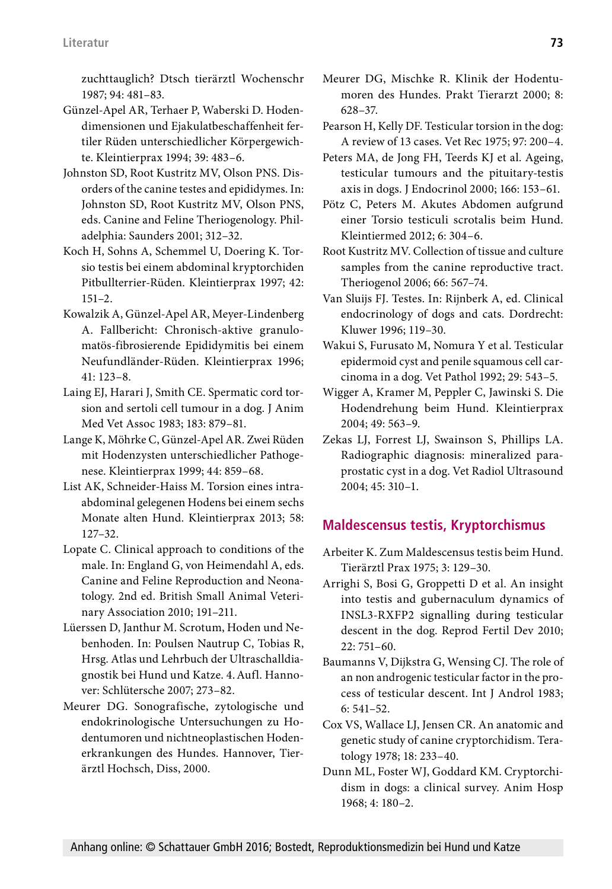zuchttauglich? Dtsch tierärztl Wochenschr 1987; 94: 481–83.

- Günzel-Apel AR, Terhaer P, Waberski D. Hodendimensionen und Ejakulatbeschaffenheit fertiler Rüden unterschiedlicher Körpergewichte. Kleintierprax 1994; 39: 483–6.
- Johnston SD, Root Kustritz MV, Olson PNS. Disorders of the canine testes and epididymes. In: Johnston SD, Root Kustritz MV, Olson PNS, eds. Canine and Feline Theriogenology. Philadelphia: Saunders 2001; 312–32.
- Koch H, Sohns A, Schemmel U, Doering K. Torsio testis bei einem abdominal kryptorchiden Pitbullterrier-Rüden. Kleintierprax 1997; 42: 151–2.
- Kowalzik A, Günzel-Apel AR, Meyer-Lindenberg A. Fallbericht: Chronisch-aktive granulomatös-fibrosierende Epididymitis bei einem Neufundländer-Rüden. Kleintierprax 1996; 41: 123–8.
- Laing EJ, Harari J, Smith CE. Spermatic cord torsion and sertoli cell tumour in a dog. J Anim Med Vet Assoc 1983; 183: 879–81.
- Lange K, Möhrke C, Günzel-Apel AR. Zwei Rüden mit Hodenzysten unterschiedlicher Pathogenese. Kleintierprax 1999; 44: 859–68.
- List AK, Schneider-Haiss M. Torsion eines intraabdominal gelegenen Hodens bei einem sechs Monate alten Hund. Kleintierprax 2013; 58: 127–32.
- Lopate C. Clinical approach to conditions of the male. In: England G, von Heimendahl A, eds. Canine and Feline Reproduction and Neonatology. 2nd ed. British Small Animal Veterinary Association 2010; 191–211.
- Lüerssen D, Janthur M. Scrotum, Hoden und Nebenhoden. In: Poulsen Nautrup C, Tobias R, Hrsg. Atlas und Lehrbuch der Ultraschalldiagnostik bei Hund und Katze. 4.Aufl. Hannover: Schlütersche 2007; 273–82.
- Meurer DG. Sonografische, zytologische und endokrinologische Untersuchungen zu Hodentumoren und nichtneoplastischen Hodenerkrankungen des Hundes. Hannover, Tierärztl Hochsch, Diss, 2000.
- Meurer DG, Mischke R. Klinik der Hodentumoren des Hundes. Prakt Tierarzt 2000; 8: 628–37.
- Pearson H, Kelly DF. Testicular torsion in the dog: A review of 13 cases. Vet Rec 1975; 97: 200–4.
- Peters MA, de Jong FH, Teerds KJ et al. Ageing, testicular tumours and the pituitary-testis axis in dogs. J Endocrinol 2000; 166: 153–61.
- Pötz C, Peters M. Akutes Abdomen aufgrund einer Torsio testiculi scrotalis beim Hund. Kleintiermed 2012; 6: 304–6.
- Root Kustritz MV. Collection of tissue and culture samples from the canine reproductive tract. Theriogenol 2006; 66: 567–74.
- Van Sluijs FJ. Testes. In: Rijnberk A, ed. Clinical endocrinology of dogs and cats. Dordrecht: Kluwer 1996; 119–30.
- Wakui S, Furusato M, Nomura Y et al. Testicular epidermoid cyst and penile squamous cell carcinoma in a dog. Vet Pathol 1992; 29: 543–5.
- Wigger A, Kramer M, Peppler C, Jawinski S. Die Hodendrehung beim Hund. Kleintierprax 2004; 49: 563–9.
- Zekas LJ, Forrest LJ, Swainson S, Phillips LA. Radiographic diagnosis: mineralized paraprostatic cyst in a dog. Vet Radiol Ultrasound 2004; 45: 310–1.

# **Maldescensus testis, Kryptorchismus**

- Arbeiter K. Zum Maldescensus testis beim Hund. Tierärztl Prax 1975; 3: 129–30.
- Arrighi S, Bosi G, Groppetti D et al. An insight into testis and gubernaculum dynamics of INSL3-RXFP2 signalling during testicular descent in the dog. Reprod Fertil Dev 2010; 22: 751–60.
- Baumanns V, Dijkstra G, Wensing CJ. The role of an non androgenic testicular factor in the process of testicular descent. Int J Androl 1983; 6: 541–52.
- Cox VS, Wallace LJ, Jensen CR. An anatomic and genetic study of canine cryptorchidism. Teratology 1978; 18: 233–40.
- Dunn ML, Foster WJ, Goddard KM. Cryptorchidism in dogs: a clinical survey. Anim Hosp 1968; 4: 180–2.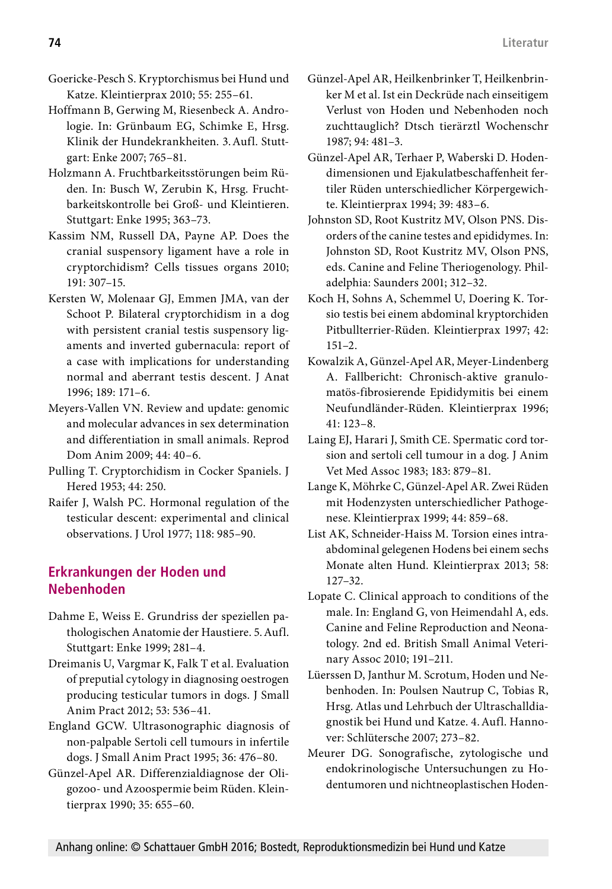- Goericke-Pesch S. Kryptorchismus bei Hund und Katze. Kleintierprax 2010; 55: 255–61.
- Hoffmann B, Gerwing M, Riesenbeck A. Andrologie. In: Grünbaum EG, Schimke E, Hrsg. Klinik der Hundekrankheiten. 3.Aufl. Stuttgart: Enke 2007; 765–81.
- Holzmann A. Fruchtbarkeitsstörungen beim Rüden. In: Busch W, Zerubin K, Hrsg. Fruchtbarkeitskontrolle bei Groß- und Kleintieren. Stuttgart: Enke 1995; 363–73.
- Kassim NM, Russell DA, Payne AP. Does the cranial suspensory ligament have a role in cryptorchidism? Cells tissues organs 2010; 191: 307–15.
- Kersten W, Molenaar GJ, Emmen JMA, van der Schoot P. Bilateral cryptorchidism in a dog with persistent cranial testis suspensory ligaments and inverted gubernacula: report of a case with implications for understanding normal and aberrant testis descent. J Anat 1996; 189: 171–6.
- Meyers-Vallen VN. Review and update: genomic and molecular advances in sex determination and differentiation in small animals. Reprod Dom Anim 2009; 44: 40–6.
- Pulling T. Cryptorchidism in Cocker Spaniels. J Hered 1953; 44: 250.
- Raifer J, Walsh PC. Hormonal regulation of the testicular descent: experimental and clinical observations. J Urol 1977; 118: 985–90.

### **Erkrankungen der Hoden und Nebenhoden**

- Dahme E, Weiss E. Grundriss der speziellen pathologischen Anatomie der Haustiere. 5.Aufl. Stuttgart: Enke 1999; 281–4.
- Dreimanis U, Vargmar K, Falk T et al. Evaluation of preputial cytology in diagnosing oestrogen producing testicular tumors in dogs. J Small Anim Pract 2012; 53: 536–41.
- England GCW. Ultrasonographic diagnosis of non-palpable Sertoli cell tumours in infertile dogs. J Small Anim Pract 1995; 36: 476–80.
- Günzel-Apel AR. Differenzialdiagnose der Oligozoo- und Azoospermie beim Rüden. Kleintierprax 1990; 35: 655–60.
- Günzel-Apel AR, Heilkenbrinker T, Heilkenbrinker M et al. Ist ein Deckrüde nach einseitigem Verlust von Hoden und Nebenhoden noch zuchttauglich? Dtsch tierärztl Wochenschr 1987; 94: 481–3.
- Günzel-Apel AR, Terhaer P, Waberski D. Hodendimensionen und Ejakulatbeschaffenheit fertiler Rüden unterschiedlicher Körpergewichte. Kleintierprax 1994; 39: 483–6.
- Johnston SD, Root Kustritz MV, Olson PNS. Disorders of the canine testes and epididymes. In: Johnston SD, Root Kustritz MV, Olson PNS, eds. Canine and Feline Theriogenology. Philadelphia: Saunders 2001; 312–32.
- Koch H, Sohns A, Schemmel U, Doering K. Torsio testis bei einem abdominal kryptorchiden Pitbullterrier-Rüden. Kleintierprax 1997; 42: 151–2.
- Kowalzik A, Günzel-Apel AR, Meyer-Lindenberg A. Fallbericht: Chronisch-aktive granulomatös-fibrosierende Epididymitis bei einem Neufundländer-Rüden. Kleintierprax 1996; 41: 123–8.
- Laing EJ, Harari J, Smith CE. Spermatic cord torsion and sertoli cell tumour in a dog. J Anim Vet Med Assoc 1983; 183: 879–81.
- Lange K, Möhrke C, Günzel-Apel AR. Zwei Rüden mit Hodenzysten unterschiedlicher Pathogenese. Kleintierprax 1999; 44: 859–68.
- List AK, Schneider-Haiss M. Torsion eines intraabdominal gelegenen Hodens bei einem sechs Monate alten Hund. Kleintierprax 2013; 58: 127–32.
- Lopate C. Clinical approach to conditions of the male. In: England G, von Heimendahl A, eds. Canine and Feline Reproduction and Neonatology. 2nd ed. British Small Animal Veterinary Assoc 2010; 191–211.
- Lüerssen D, Janthur M. Scrotum, Hoden und Nebenhoden. In: Poulsen Nautrup C, Tobias R, Hrsg. Atlas und Lehrbuch der Ultraschalldiagnostik bei Hund und Katze. 4.Aufl. Hannover: Schlütersche 2007; 273–82.
- Meurer DG. Sonografische, zytologische und endokrinologische Untersuchungen zu Hodentumoren und nichtneoplastischen Hoden-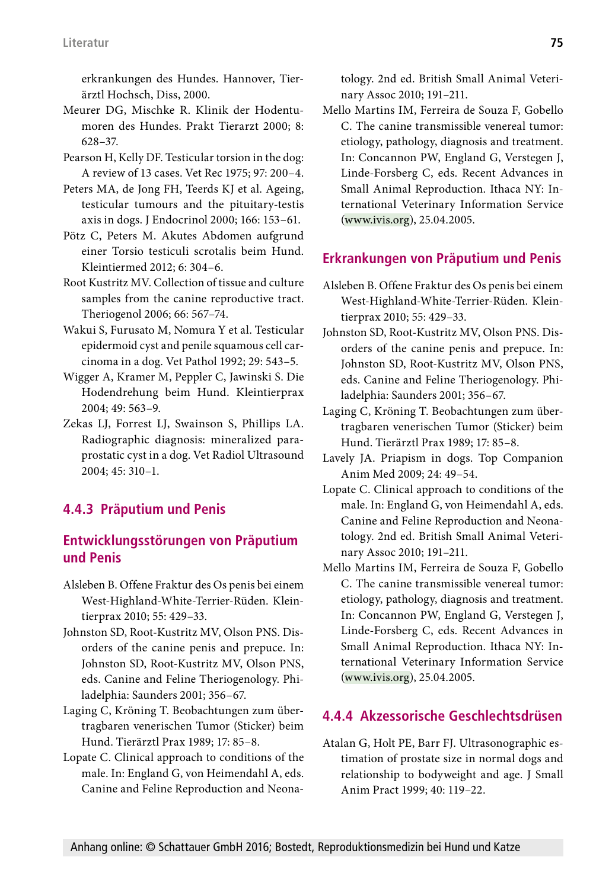erkrankungen des Hundes. Hannover, Tierärztl Hochsch, Diss, 2000.

- Meurer DG, Mischke R. Klinik der Hodentumoren des Hundes. Prakt Tierarzt 2000; 8: 628–37.
- Pearson H, Kelly DF. Testicular torsion in the dog: A review of 13 cases. Vet Rec 1975; 97: 200–4.
- Peters MA, de Jong FH, Teerds KJ et al. Ageing, testicular tumours and the pituitary-testis axis in dogs. J Endocrinol 2000; 166: 153–61.
- Pötz C, Peters M. Akutes Abdomen aufgrund einer Torsio testiculi scrotalis beim Hund. Kleintiermed 2012; 6: 304–6.
- Root Kustritz MV. Collection of tissue and culture samples from the canine reproductive tract. Theriogenol 2006; 66: 567–74.
- Wakui S, Furusato M, Nomura Y et al. Testicular epidermoid cyst and penile squamous cell carcinoma in a dog. Vet Pathol 1992; 29: 543–5.
- Wigger A, Kramer M, Peppler C, Jawinski S. Die Hodendrehung beim Hund. Kleintierprax 2004; 49: 563–9.
- Zekas LJ, Forrest LJ, Swainson S, Phillips LA. Radiographic diagnosis: mineralized paraprostatic cyst in a dog. Vet Radiol Ultrasound 2004; 45: 310–1.

### **4.4.3 Präputium und Penis**

### **Entwicklungsstörungen von Präputium und Penis**

- Alsleben B. Offene Fraktur des Os penis bei einem West-Highland-White-Terrier-Rüden. Kleintierprax 2010; 55: 429–33.
- Johnston SD, Root-Kustritz MV, Olson PNS. Disorders of the canine penis and prepuce. In: Johnston SD, Root-Kustritz MV, Olson PNS, eds. Canine and Feline Theriogenology. Philadelphia: Saunders 2001; 356–67.
- Laging C, Kröning T. Beobachtungen zum übertragbaren venerischen Tumor (Sticker) beim Hund. Tierärztl Prax 1989; 17: 85–8.
- Lopate C. Clinical approach to conditions of the male. In: England G, von Heimendahl A, eds. Canine and Feline Reproduction and Neona-

tology. 2nd ed. British Small Animal Veterinary Assoc 2010; 191–211.

Mello Martins IM, Ferreira de Souza F, Gobello C. The canine transmissible venereal tumor: etiology, pathology, diagnosis and treatment. In: Concannon PW, England G, Verstegen J, Linde-Forsberg C, eds. Recent Advances in Small Animal Reproduction. Ithaca NY: International Veterinary Information Service (www.ivis.org), 25.04.2005.

#### **Erkrankungen von Präputium und Penis**

- Alsleben B. Offene Fraktur des Os penis bei einem West-Highland-White-Terrier-Rüden. Kleintierprax 2010; 55: 429–33.
- Johnston SD, Root-Kustritz MV, Olson PNS. Disorders of the canine penis and prepuce. In: Johnston SD, Root-Kustritz MV, Olson PNS, eds. Canine and Feline Theriogenology. Philadelphia: Saunders 2001; 356–67.
- Laging C, Kröning T. Beobachtungen zum übertragbaren venerischen Tumor (Sticker) beim Hund. Tierärztl Prax 1989; 17: 85–8.
- Lavely JA. [Priapism in dogs.](http://www.ncbi.nlm.nih.gov/pubmed/19501342) Top Companion Anim Med 2009; 24: 49–54.
- Lopate C. Clinical approach to conditions of the male. In: England G, von Heimendahl A, eds. Canine and Feline Reproduction and Neonatology. 2nd ed. British Small Animal Veterinary Assoc 2010; 191–211.
- Mello Martins IM, Ferreira de Souza F, Gobello C. The canine transmissible venereal tumor: etiology, pathology, diagnosis and treatment. In: Concannon PW, England G, Verstegen J, Linde-Forsberg C, eds. Recent Advances in Small Animal Reproduction. Ithaca NY: International Veterinary Information Service (www.ivis.org), 25.04.2005.

#### **4.4.4 Akzessorische Geschlechtsdrüsen**

Atalan G, Holt PE, Barr FJ. Ultrasonographic estimation of prostate size in normal dogs and relationship to bodyweight and age. J Small Anim Pract 1999; 40: 119–22.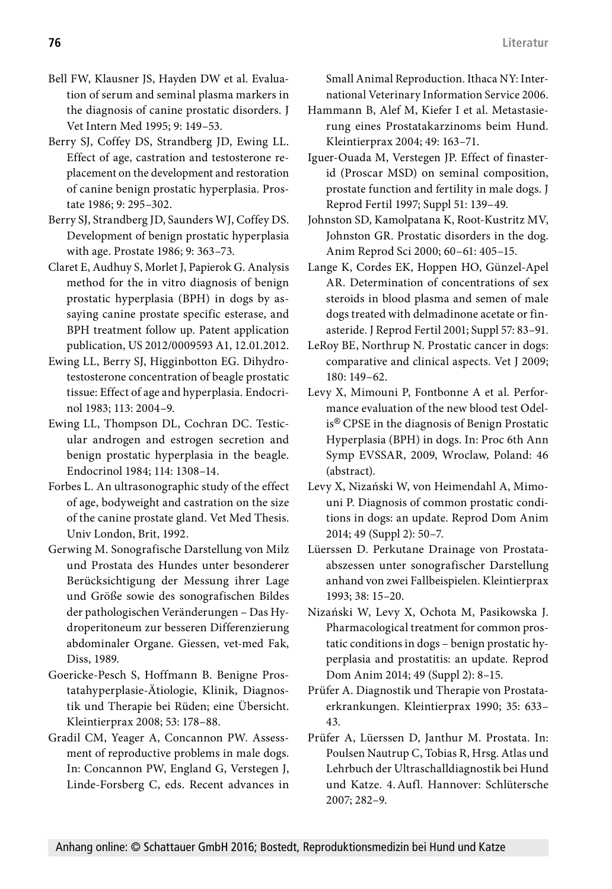- Bell FW, Klausner JS, Hayden DW et al. Evaluation of serum and seminal plasma markers in the diagnosis of canine prostatic disorders. J Vet Intern Med 1995; 9: 149–53.
- Berry SJ, Coffey DS, Strandberg JD, Ewing LL. Effect of age, castration and testosterone replacement on the development and restoration of canine benign prostatic hyperplasia. Prostate 1986; 9: 295–302.
- Berry SJ, Strandberg JD, Saunders WJ, Coffey DS. Development of benign prostatic hyperplasia with age. Prostate 1986; 9: 363–73.
- Claret E, Audhuy S, Morlet J, Papierok G. Analysis method for the in vitro diagnosis of benign prostatic hyperplasia (BPH) in dogs by assaying canine prostate specific esterase, and BPH treatment follow up. Patent application publication, US 2012/0009593 A1, 12.01.2012.
- Ewing LL, Berry SJ, Higginbotton EG. Dihydrotestosterone concentration of beagle prostatic tissue: Effect of age and hyperplasia. Endocrinol 1983; 113: 2004–9.
- Ewing LL, Thompson DL, Cochran DC. Testicular androgen and estrogen secretion and benign prostatic hyperplasia in the beagle. Endocrinol 1984; 114: 1308–14.
- Forbes L. An ultrasonographic study of the effect of age, bodyweight and castration on the size of the canine prostate gland. Vet Med Thesis. Univ London, Brit, 1992.
- Gerwing M. Sonografische Darstellung von Milz und Prostata des Hundes unter besonderer Berücksichtigung der Messung ihrer Lage und Größe sowie des sonografischen Bildes der pathologischen Veränderungen – Das Hydroperitoneum zur besseren Differenzierung abdominaler Organe. Giessen, vet-med Fak, Diss, 1989.
- Goericke-Pesch S, Hoffmann B. Benigne Prostatahyperplasie-Ätiologie, Klinik, Diagnostik und Therapie bei Rüden; eine Übersicht. Kleintierprax 2008; 53: 178–88.
- Gradil CM, Yeager A, Concannon PW. Assessment of reproductive problems in male dogs. In: Concannon PW, England G, Verstegen J, Linde-Forsberg C, eds. Recent advances in

Small Animal Reproduction. Ithaca NY: International Veterinary Information Service 2006.

- Hammann B, Alef M, Kiefer I et al. Metastasierung eines Prostatakarzinoms beim Hund. Kleintierprax 2004; 49: 163–71.
- Iguer-Ouada M, Verstegen JP. Effect of finasterid (Proscar MSD) on seminal composition, prostate function and fertility in male dogs. J Reprod Fertil 1997; Suppl 51: 139–49.
- Johnston SD, Kamolpatana K, Root-Kustritz MV, Johnston GR. Prostatic disorders in the dog. Anim Reprod Sci 2000; 60–61: 405–15.
- Lange K, Cordes EK, Hoppen HO, Günzel-Apel AR. Determination of concentrations of sex steroids in blood plasma and semen of male dogs treated with delmadinone acetate or finasteride. J Reprod Fertil 2001; Suppl 57: 83–91.
- LeRoy BE, Northrup N. Prostatic cancer in dogs: comparative and clinical aspects. Vet J 2009; 180: 149–62.
- Levy X, Mimouni P, Fontbonne A et al. Performance evaluation of the new blood test Odelis® CPSE in the diagnosis of Benign Prostatic Hyperplasia (BPH) in dogs. In: Proc 6th Ann Symp EVSSAR, 2009, Wroclaw, Poland: 46 (abstract).
- Levy X, Nizański W, von Heimendahl A, Mimouni P. Diagnosis of common prostatic conditions in dogs: an update. Reprod Dom Anim 2014; 49 (Suppl 2): 50–7.
- Lüerssen D. Perkutane Drainage von Prostataabszessen unter sonografischer Darstellung anhand von zwei Fallbeispielen. Kleintierprax 1993; 38: 15–20.
- Nizański W, Levy X, Ochota M, Pasikowska J. Pharmacological treatment for common prostatic conditions in dogs – benign prostatic hyperplasia and prostatitis: an update. Reprod Dom Anim 2014; 49 (Suppl 2): 8–15.
- Prüfer A. Diagnostik und Therapie von Prostataerkrankungen. Kleintierprax 1990; 35: 633– 43.
- Prüfer A, Lüerssen D, Janthur M. Prostata. In: Poulsen Nautrup C, Tobias R, Hrsg. Atlas und Lehrbuch der Ultraschalldiagnostik bei Hund und Katze. 4.Aufl. Hannover: Schlütersche 2007; 282–9.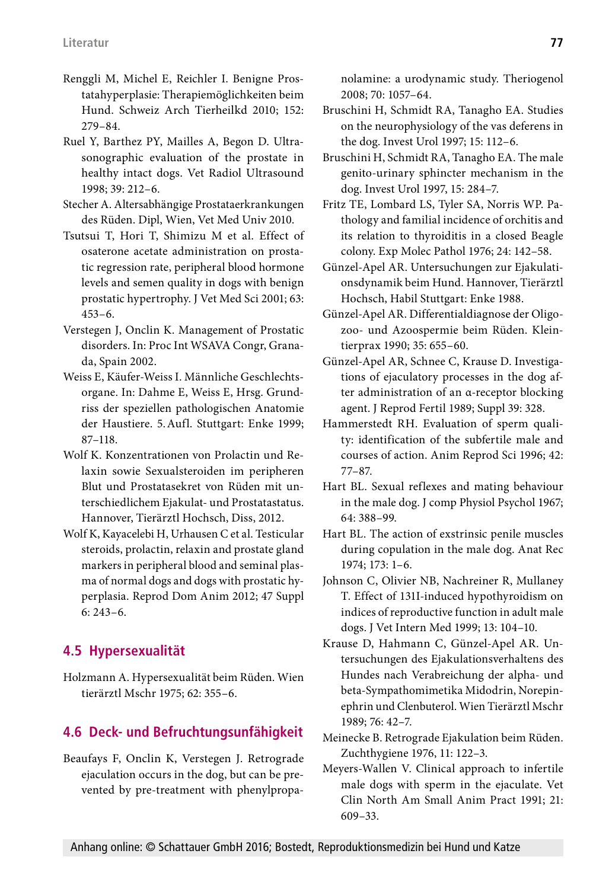- Renggli M, Michel E, Reichler I. Benigne Prostatahyperplasie: Therapiemöglichkeiten beim Hund. Schweiz Arch Tierheilkd 2010; 152: 279–84.
- Ruel Y, Barthez PY, Mailles A, Begon D. Ultrasonographic evaluation of the prostate in healthy intact dogs. Vet Radiol Ultrasound 1998; 39: 212–6.
- Stecher A. Altersabhängige Prostataerkrankungen des Rüden. Dipl, Wien, Vet Med Univ 2010.
- Tsutsui T, Hori T, Shimizu M et al. Effect of osaterone acetate administration on prostatic regression rate, peripheral blood hormone levels and semen quality in dogs with benign prostatic hypertrophy. J Vet Med Sci 2001; 63: 453–6.
- Verstegen J, Onclin K. Management of Prostatic disorders. In: Proc Int WSAVA Congr, Granada, Spain 2002.
- Weiss E, Käufer-Weiss I. Männliche Geschlechtsorgane. In: Dahme E, Weiss E, Hrsg. Grundriss der speziellen pathologischen Anatomie der Haustiere. 5.Aufl. Stuttgart: Enke 1999; 87–118.
- Wolf K. Konzentrationen von Prolactin und Relaxin sowie Sexualsteroiden im peripheren Blut und Prostatasekret von Rüden mit unterschiedlichem Ejakulat- und Prostatastatus. Hannover, Tierärztl Hochsch, Diss, 2012.
- Wolf K, Kayacelebi H, Urhausen C et al. Testicular steroids, prolactin, relaxin and prostate gland markers in peripheral blood and seminal plasma of normal dogs and dogs with prostatic hyperplasia. Reprod Dom Anim 2012; 47 Suppl  $6: 243 - 6$

# **4.5 Hypersexualität**

Holzmann A. Hypersexualität beim Rüden. Wien tierärztl Mschr 1975; 62: 355–6.

# **4.6 Deck- und Befruchtungsunfähigkeit**

Beaufays F, Onclin K, Verstegen J. Retrograde ejaculation occurs in the dog, but can be prevented by pre-treatment with phenylpropanolamine: a urodynamic study. Theriogenol 2008; 70: 1057–64.

- Bruschini H, Schmidt RA, Tanagho EA. Studies on the neurophysiology of the vas deferens in the dog. Invest Urol 1997; 15: 112–6.
- Bruschini H, Schmidt RA, Tanagho EA. The male genito-urinary sphincter mechanism in the dog. Invest Urol 1997, 15: 284–7.
- Fritz TE, Lombard LS, Tyler SA, Norris WP. Pathology and familial incidence of orchitis and its relation to thyroiditis in a closed Beagle colony. Exp Molec Pathol 1976; 24: 142–58.
- Günzel-Apel AR. Untersuchungen zur Ejakulationsdynamik beim Hund. Hannover, Tierärztl Hochsch, Habil Stuttgart: Enke 1988.
- Günzel-Apel AR. Differentialdiagnose der Oligozoo- und Azoospermie beim Rüden. Kleintierprax 1990; 35: 655–60.
- Günzel-Apel AR, Schnee C, Krause D. Investigations of ejaculatory processes in the dog after administration of an α-receptor blocking agent. J Reprod Fertil 1989; Suppl 39: 328.
- Hammerstedt RH. Evaluation of sperm quality: identification of the subfertile male and courses of action. Anim Reprod Sci 1996; 42: 77–87.
- Hart BL. Sexual reflexes and mating behaviour in the male dog. J comp Physiol Psychol 1967; 64: 388–99.
- Hart BL. The action of exstrinsic penile muscles during copulation in the male dog. Anat Rec 1974; 173: 1–6.
- Johnson C, Olivier NB, Nachreiner R, Mullaney T. Effect of 131I-induced hypothyroidism on indices of reproductive function in adult male dogs. J Vet Intern Med 1999; 13: 104–10.
- Krause D, Hahmann C, Günzel-Apel AR. Untersuchungen des Ejakulationsverhaltens des Hundes nach Verabreichung der alpha- und beta-Sympathomimetika Midodrin, Norepinephrin und Clenbuterol. Wien Tierärztl Mschr 1989; 76: 42–7.
- Meinecke B. Retrograde Ejakulation beim Rüden. Zuchthygiene 1976, 11: 122–3.
- Meyers-Wallen V. Clinical approach to infertile male dogs with sperm in the ejaculate. Vet Clin North Am Small Anim Pract 1991; 21: 609–33.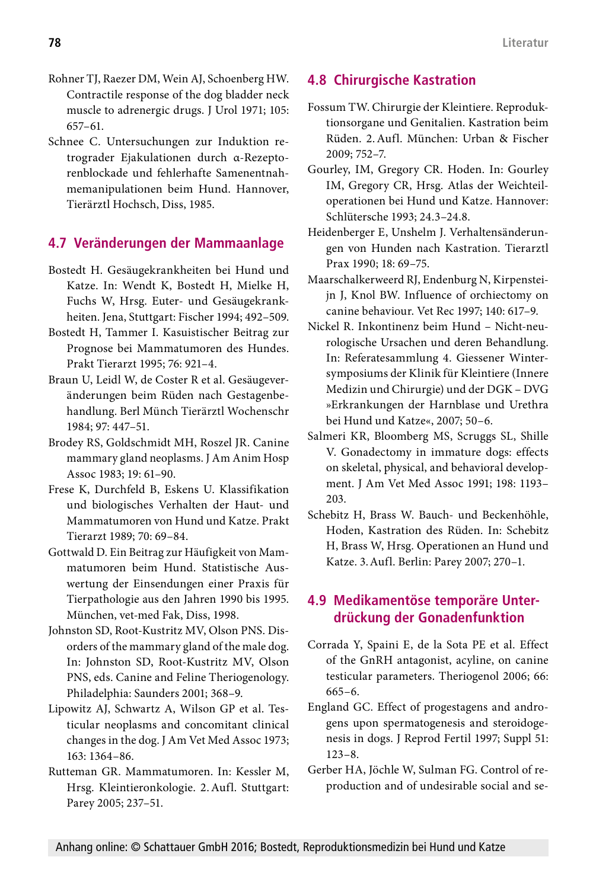- Rohner TJ, Raezer DM, Wein AJ, Schoenberg HW. Contractile response of the dog bladder neck muscle to adrenergic drugs. J Urol 1971; 105: 657–61.
- Schnee C. Untersuchungen zur Induktion retrograder Ejakulationen durch α-Rezeptorenblockade und fehlerhafte Samenentnahmemanipulationen beim Hund. Hannover, Tierärztl Hochsch, Diss, 1985.

### **4.7 Veränderungen der Mammaanlage**

- Bostedt H. Gesäugekrankheiten bei Hund und Katze. In: Wendt K, Bostedt H, Mielke H, Fuchs W, Hrsg. Euter- und Gesäugekrankheiten. Jena, Stuttgart: Fischer 1994; 492–509.
- Bostedt H, Tammer I. Kasuistischer Beitrag zur Prognose bei Mammatumoren des Hundes. Prakt Tierarzt 1995; 76: 921–4.
- Braun U, Leidl W, de Coster R et al. Gesäugeveränderungen beim Rüden nach Gestagenbehandlung. Berl Münch Tierärztl Wochenschr 1984; 97: 447–51.
- Brodey RS, Goldschmidt MH, Roszel JR. Canine mammary gland neoplasms. J Am Anim Hosp Assoc 1983; 19: 61–90.
- Frese K, Durchfeld B, Eskens U. Klassifikation und biologisches Verhalten der Haut- und Mammatumoren von Hund und Katze. Prakt Tierarzt 1989; 70: 69–84.
- Gottwald D. Ein Beitrag zur Häufigkeit von Mammatumoren beim Hund. Statistische Auswertung der Einsendungen einer Praxis für Tierpathologie aus den Jahren 1990 bis 1995. München, vet-med Fak, Diss, 1998.
- Johnston SD, Root-Kustritz MV, Olson PNS. Disorders of the mammary gland of the male dog. In: Johnston SD, Root-Kustritz MV, Olson PNS, eds. Canine and Feline Theriogenology. Philadelphia: Saunders 2001; 368–9.
- Lipowitz AJ, Schwartz A, Wilson GP et al. Testicular neoplasms and concomitant clinical changes in the dog. J Am Vet Med Assoc 1973; 163: 1364–86.
- Rutteman GR. Mammatumoren. In: Kessler M, Hrsg. Kleintieronkologie. 2.Aufl. Stuttgart: Parey 2005; 237–51.

# **4.8 Chirurgische Kastration**

- Fossum TW. Chirurgie der Kleintiere. Reproduktionsorgane und Genitalien. Kastration beim Rüden. 2.Aufl. München: Urban & Fischer 2009; 752–7.
- Gourley, IM, Gregory CR. Hoden. In: Gourley IM, Gregory CR, Hrsg. Atlas der Weichteiloperationen bei Hund und Katze. Hannover: Schlütersche 1993; 24.3–24.8.
- Heidenberger E, Unshelm J. Verhaltensänderungen von Hunden nach Kastration. Tierarztl Prax 1990; 18: 69–75.
- Maarschalkerweerd RJ, Endenburg N, Kirpensteijn J, Knol BW. Influence of orchiectomy on canine behaviour. Vet Rec 1997; 140: 617–9.
- Nickel R. Inkontinenz beim Hund Nicht-neurologische Ursachen und deren Behandlung. In: Referatesammlung 4. Giessener Wintersymposiums der Klinik für Kleintiere (Innere Medizin und Chirurgie) und der DGK – DVG »Erkrankungen der Harnblase und Urethra bei Hund und Katze«, 2007; 50–6.
- Salmeri KR, Bloomberg MS, Scruggs SL, Shille V. Gonadectomy in immature dogs: effects on skeletal, physical, and behavioral development. J Am Vet Med Assoc 1991; 198: 1193– 203.
- Schebitz H, Brass W. Bauch- und Beckenhöhle, Hoden, Kastration des Rüden. In: Schebitz H, Brass W, Hrsg. Operationen an Hund und Katze. 3.Aufl. Berlin: Parey 2007; 270–1.

# **4.9 Medikamentöse temporäre Unterdrückung der Gonadenfunktion**

- Corrada Y, Spaini E, de la Sota PE et al. Effect of the GnRH antagonist, acyline, on canine testicular parameters. Theriogenol 2006; 66: 665–6.
- England GC. Effect of progestagens and androgens upon spermatogenesis and steroidogenesis in dogs. J Reprod Fertil 1997; Suppl 51: 123–8.
- Gerber HA, Jöchle W, Sulman FG. Control of reproduction and of undesirable social and se-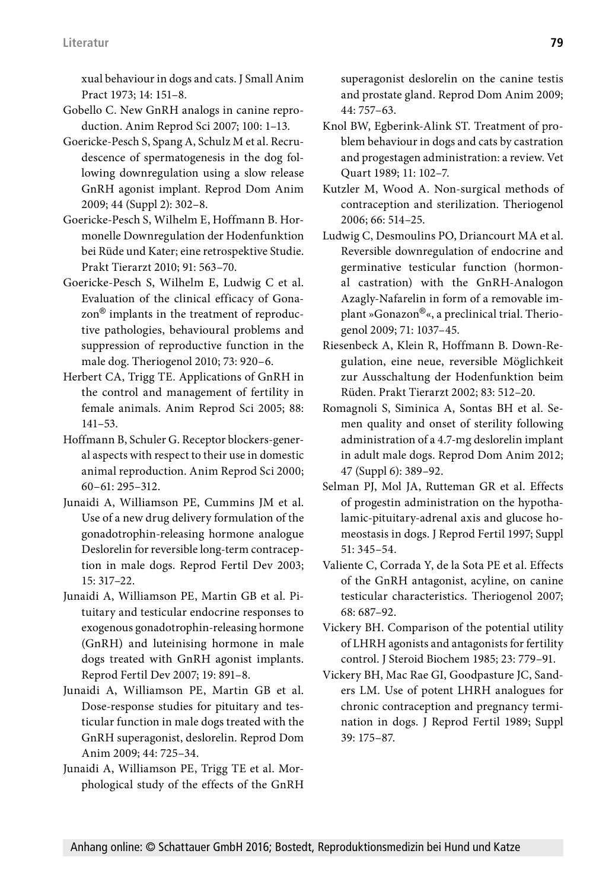xual behaviour in dogs and cats. J Small Anim Pract 1973; 14: 151–8.

- Gobello C. New GnRH analogs in canine reproduction. Anim Reprod Sci 2007; 100: 1–13.
- Goericke-Pesch S, Spang A, Schulz M et al. Recrudescence of spermatogenesis in the dog following downregulation using a slow release GnRH agonist implant. Reprod Dom Anim 2009; 44 (Suppl 2): 302–8.
- Goericke-Pesch S, Wilhelm E, Hoffmann B. Hormonelle Downregulation der Hodenfunktion bei Rüde und Kater; eine retrospektive Studie. Prakt Tierarzt 2010; 91: 563–70.
- Goericke-Pesch S, Wilhelm E, Ludwig C et al. Evaluation of the clinical efficacy of Gonazon® implants in the treatment of reproductive pathologies, behavioural problems and suppression of reproductive function in the male dog. Theriogenol 2010; 73: 920–6.
- Herbert CA, Trigg TE. Applications of GnRH in the control and management of fertility in female animals. Anim Reprod Sci 2005; 88: 141–53.
- Hoffmann B, Schuler G. Receptor blockers-general aspects with respect to their use in domestic animal reproduction. Anim Reprod Sci 2000; 60–61: 295–312.
- Junaidi A, Williamson PE, Cummins JM et al. Use of a new drug delivery formulation of the gonadotrophin-releasing hormone analogue Deslorelin for reversible long-term contraception in male dogs. Reprod Fertil Dev 2003; 15: 317–22.
- Junaidi A, Williamson PE, Martin GB et al. Pituitary and testicular endocrine responses to exogenous gonadotrophin-releasing hormone (GnRH) and luteinising hormone in male dogs treated with GnRH agonist implants. Reprod Fertil Dev 2007; 19: 891–8.
- Junaidi A, Williamson PE, Martin GB et al. Dose-response studies for pituitary and testicular function in male dogs treated with the GnRH superagonist, deslorelin. Reprod Dom Anim 2009; 44: 725–34.
- Junaidi A, Williamson PE, Trigg TE et al. Morphological study of the effects of the GnRH

superagonist deslorelin on the canine testis and prostate gland. Reprod Dom Anim 2009; 44: 757–63.

- Knol BW, Egberink-Alink ST. Treatment of problem behaviour in dogs and cats by castration and progestagen administration: a review. Vet Quart 1989; 11: 102–7.
- Kutzler M, Wood A. Non-surgical methods of contraception and sterilization. Theriogenol 2006; 66: 514–25.
- Ludwig C, Desmoulins PO, Driancourt MA et al. Reversible downregulation of endocrine and germinative testicular function (hormonal castration) with the GnRH-Analogon Azagly-Nafarelin in form of a removable implant »Gonazon®«, a preclinical trial. Theriogenol 2009; 71: 1037–45.
- Riesenbeck A, Klein R, Hoffmann B. Down-Regulation, eine neue, reversible Möglichkeit zur Ausschaltung der Hodenfunktion beim Rüden. Prakt Tierarzt 2002; 83: 512–20.
- Romagnoli S, Siminica A, Sontas BH et al. Semen quality and onset of sterility following administration of a 4.7-mg deslorelin implant in adult male dogs. Reprod Dom Anim 2012; 47 (Suppl 6): 389–92.
- Selman PJ, Mol JA, Rutteman GR et al. Effects of progestin administration on the hypothalamic-pituitary-adrenal axis and glucose homeostasis in dogs. J Reprod Fertil 1997; Suppl 51: 345–54.
- Valiente C, Corrada Y, de la Sota PE et al. Effects of the GnRH antagonist, acyline, on canine testicular characteristics. Theriogenol 2007; 68: 687–92.
- Vickery BH. Comparison of the potential utility of LHRH agonists and antagonists for fertility control. J Steroid Biochem 1985; 23: 779–91.
- Vickery BH, Mac Rae GI, Goodpasture JC, Sanders LM. Use of potent LHRH analogues for chronic contraception and pregnancy termination in dogs. J Reprod Fertil 1989; Suppl 39: 175–87.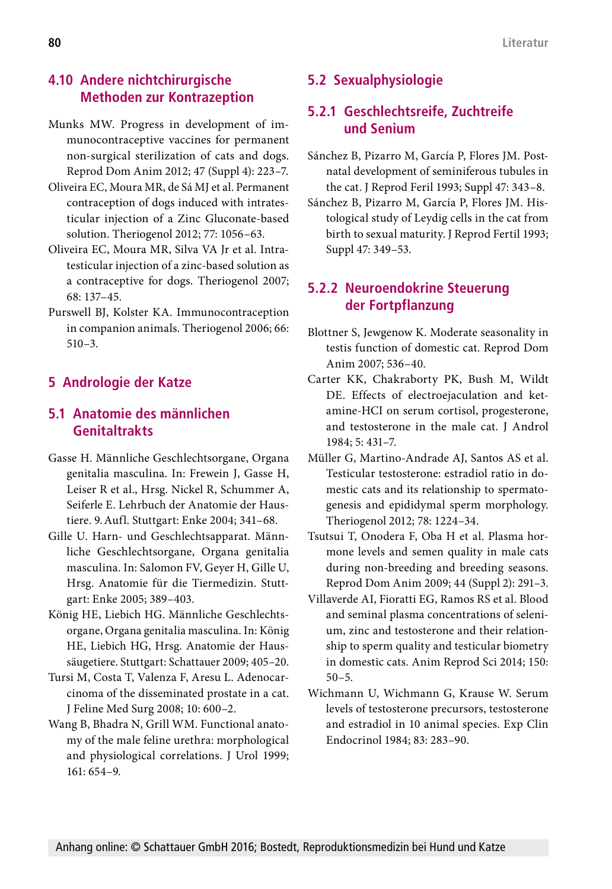### **4.10 Andere nichtchirurgische Methoden zur Kontrazeption**

- Munks MW. Progress in development of immunocontraceptive vaccines for permanent non-surgical sterilization of cats and dogs. Reprod Dom Anim 2012; 47 (Suppl 4): 223–7.
- Oliveira EC, Moura MR, de Sá MJ et al. Permanent contraception of dogs induced with intratesticular injection of a Zinc Gluconate-based solution. Theriogenol 2012; 77: 1056–63.
- Oliveira EC, Moura MR, Silva VA Jr et al. Intratesticular injection of a zinc-based solution as a contraceptive for dogs. Theriogenol 2007; 68: 137–45.
- Purswell BJ, Kolster KA. Immunocontraception in companion animals. Theriogenol 2006; 66: 510–3.

# **5 Andrologie der Katze**

# **5.1 Anatomie des männlichen Genitaltrakts**

- Gasse H. Männliche Geschlechtsorgane, Organa genitalia masculina. In: Frewein J, Gasse H, Leiser R et al., Hrsg. Nickel R, Schummer A, Seiferle E. Lehrbuch der Anatomie der Haustiere. 9.Aufl. Stuttgart: Enke 2004; 341–68.
- Gille U. Harn- und Geschlechtsapparat. Männliche Geschlechtsorgane, Organa genitalia masculina. In: Salomon FV, Geyer H, Gille U, Hrsg. Anatomie für die Tiermedizin. Stuttgart: Enke 2005; 389–403.
- König HE, Liebich HG. Männliche Geschlechtsorgane, Organa genitalia masculina. In: König HE, Liebich HG, Hrsg. Anatomie der Haussäugetiere. Stuttgart: Schattauer 2009; 405–20.
- Tursi M, Costa T, Valenza F, Aresu L. Adenocarcinoma of the disseminated prostate in a cat. J Feline Med Surg 2008; 10: 600–2.
- Wang B, Bhadra N, Grill WM. Functional anatomy of the male feline urethra: morphological and physiological correlations. J Urol 1999; 161: 654–9.

# **5.2 Sexualphysiologie**

## **5.2.1 Geschlechtsreife, Zuchtreife und Senium**

- Sánchez B, Pizarro M, García P, Flores JM. Postnatal development of seminiferous tubules in the cat. J Reprod Feril 1993; Suppl 47: 343–8.
- Sánchez B, Pizarro M, García P, Flores JM. Histological study of Leydig cells in the cat from birth to sexual maturity. J Reprod Fertil 1993; Suppl 47: 349–53.

## **5.2.2 Neuroendokrine Steuerung der Fortpflanzung**

- Blottner S, Jewgenow K. Moderate seasonality in testis function of domestic cat. Reprod Dom Anim 2007; 536–40.
- Carter KK, Chakraborty PK, Bush M, Wildt DE. Effects of electroejaculation and ketamine-HCI on serum cortisol, progesterone, and testosterone in the male cat. J Androl 1984; 5: 431–7.
- Müller G, Martino-Andrade AJ, Santos AS et al. Testicular testosterone: estradiol ratio in domestic cats and its relationship to spermatogenesis and epididymal sperm morphology. Theriogenol 2012; 78: 1224–34.
- Tsutsui T, Onodera F, Oba H et al. Plasma hormone levels and semen quality in male cats during non-breeding and breeding seasons. Reprod Dom Anim 2009; 44 (Suppl 2): 291–3.
- Villaverde AI, Fioratti EG, Ramos RS et al. Blood and seminal plasma concentrations of selenium, zinc and testosterone and their relationship to sperm quality and testicular biometry in domestic cats. Anim Reprod Sci 2014; 150: 50–5.
- Wichmann U, Wichmann G, Krause W. Serum levels of testosterone precursors, testosterone and estradiol in 10 animal species. Exp Clin Endocrinol 1984; 83: 283–90.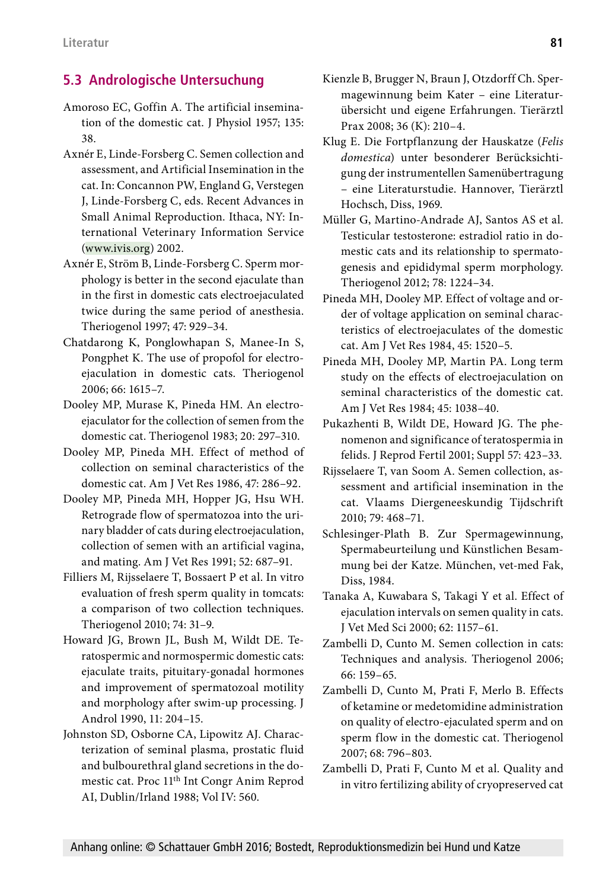### **5.3 Andrologische Untersuchung**

- Amoroso EC, Goffin A. The artificial insemination of the domestic cat. J Physiol 1957; 135: 38.
- Axnér E, Linde-Forsberg C. Semen collection and assessment, and Artificial Insemination in the cat. In: Concannon PW, England G, Verstegen J, Linde-Forsberg C, eds. Recent Advances in Small Animal Reproduction. Ithaca, NY: International Veterinary Information Service [\(www.ivis.org\)](http://www.ivis.org) 2002.
- Axnér E, Ström B, Linde-Forsberg C. Sperm morphology is better in the second ejaculate than in the first in domestic cats electroejaculated twice during the same period of anesthesia. Theriogenol 1997; 47: 929–34.
- Chatdarong K, Ponglowhapan S, Manee-In S, Pongphet K. The use of propofol for electroejaculation in domestic cats. Theriogenol 2006; 66: 1615–7.
- Dooley MP, Murase K, Pineda HM. An electroejaculator for the collection of semen from the domestic cat. Theriogenol 1983; 20: 297–310.
- Dooley MP, Pineda MH. Effect of method of collection on seminal characteristics of the domestic cat. Am J Vet Res 1986, 47: 286–92.
- Dooley MP, Pineda MH, Hopper JG, Hsu WH. Retrograde flow of spermatozoa into the urinary bladder of cats during electroejaculation, collection of semen with an artificial vagina, and mating. Am J Vet Res 1991; 52: 687–91.
- Filliers M, Rijsselaere T, Bossaert P et al. In vitro evaluation of fresh sperm quality in tomcats: a comparison of two collection techniques. Theriogenol 2010; 74: 31–9.
- Howard JG, Brown JL, Bush M, Wildt DE. Teratospermic and normospermic domestic cats: ejaculate traits, pituitary-gonadal hormones and improvement of spermatozoal motility and morphology after swim-up processing. J Androl 1990, 11: 204–15.
- Johnston SD, Osborne CA, Lipowitz AJ. Characterization of seminal plasma, prostatic fluid and bulbourethral gland secretions in the domestic cat. Proc 11th Int Congr Anim Reprod AI, Dublin/Irland 1988; Vol IV: 560.
- Kienzle B, Brugger N, Braun J, Otzdorff Ch. Spermagewinnung beim Kater – eine Literaturübersicht und eigene Erfahrungen. Tierärztl Prax 2008; 36 (K): 210–4.
- Klug E. Die Fortpflanzung der Hauskatze (*Felis domestica*) unter besonderer Berücksichtigung der instrumentellen Samenübertragung – eine Literaturstudie. Hannover, Tierärztl Hochsch, Diss, 1969.
- Müller G, Martino-Andrade AJ, Santos AS et al. Testicular testosterone: estradiol ratio in domestic cats and its relationship to spermatogenesis and epididymal sperm morphology. Theriogenol 2012; 78: 1224–34.
- Pineda MH, Dooley MP. Effect of voltage and order of voltage application on seminal characteristics of electroejaculates of the domestic cat. Am J Vet Res 1984, 45: 1520–5.
- Pineda MH, Dooley MP, Martin PA. Long term study on the effects of electroejaculation on seminal characteristics of the domestic cat. Am J Vet Res 1984; 45: 1038–40.
- Pukazhenti B, Wildt DE, Howard JG. The phenomenon and significance of teratospermia in felids. J Reprod Fertil 2001; Suppl 57: 423–33.
- Rijsselaere T, van Soom A. Semen collection, assessment and artificial insemination in the cat. Vlaams Diergeneeskundig Tijdschrift 2010; 79: 468–71.
- Schlesinger-Plath B. Zur Spermagewinnung, Spermabeurteilung und Künstlichen Besammung bei der Katze. München, vet-med Fak, Diss, 1984.
- Tanaka A, Kuwabara S, Takagi Y et al. Effect of ejaculation intervals on semen quality in cats. J Vet Med Sci 2000; 62: 1157–61.
- Zambelli D, Cunto M. Semen collection in cats: Techniques and analysis. Theriogenol 2006; 66: 159–65.
- Zambelli D, Cunto M, Prati F, Merlo B. Effects of ketamine or medetomidine administration on quality of electro-ejaculated sperm and on sperm flow in the domestic cat. Theriogenol 2007; 68: 796–803.
- Zambelli D, Prati F, Cunto M et al. Quality and in vitro fertilizing ability of cryopreserved cat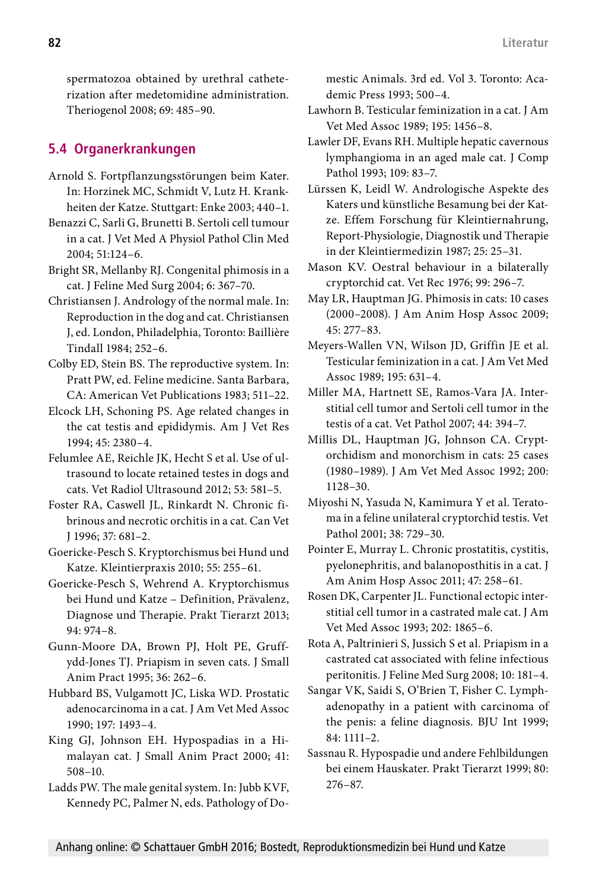spermatozoa obtained by urethral catheterization after medetomidine administration. Theriogenol 2008; 69: 485–90.

## **5.4 Organerkrankungen**

- Arnold S. Fortpflanzungsstörungen beim Kater. In: Horzinek MC, Schmidt V, Lutz H. Krankheiten der Katze. Stuttgart: Enke 2003; 440–1.
- Benazzi C, Sarli G, Brunetti B. Sertoli cell tumour in a cat. J Vet Med A Physiol Pathol Clin Med 2004; 51:124–6.
- Bright SR, Mellanby RJ. Congenital phimosis in a cat. J Feline Med Surg 2004; 6: 367–70.
- Christiansen J. Andrology of the normal male. In: Reproduction in the dog and cat. Christiansen J, ed. London, Philadelphia, Toronto: Baillière Tindall 1984; 252–6.
- Colby ED, Stein BS. The reproductive system. In: Pratt PW, ed. Feline medicine. Santa Barbara, CA: American Vet Publications 1983; 511–22.
- Elcock LH, Schoning PS. Age related changes in the cat testis and epididymis. Am J Vet Res 1994; 45: 2380–4.
- Felumlee AE, Reichle JK, Hecht S et al. Use of ultrasound to locate retained testes in dogs and cats. Vet Radiol Ultrasound 2012; 53: 581–5.
- Foster RA, Caswell JL, Rinkardt N. Chronic fibrinous and necrotic orchitis in a cat. Can Vet J 1996; 37: 681–2.
- Goericke-Pesch S. Kryptorchismus bei Hund und Katze. Kleintierpraxis 2010; 55: 255–61.
- Goericke-Pesch S, Wehrend A. Kryptorchismus bei Hund und Katze – Definition, Prävalenz, Diagnose und Therapie. Prakt Tierarzt 2013; 94: 974–8.
- Gunn-Moore DA, Brown PJ, Holt PE, Gruffydd-Jones TJ. Priapism in seven cats. J Small Anim Pract 1995; 36: 262–6.
- Hubbard BS, Vulgamott JC, Liska WD. Prostatic adenocarcinoma in a cat. J Am Vet Med Assoc 1990; 197: 1493–4.
- King GJ, Johnson EH. Hypospadias in a Himalayan cat. J Small Anim Pract 2000; 41: 508–10.
- Ladds PW. The male genital system. In: Jubb KVF, Kennedy PC, Palmer N, eds. Pathology of Do-

mestic Animals. 3rd ed. Vol 3. Toronto: Academic Press 1993; 500–4.

- Lawhorn B. Testicular feminization in a cat. J Am Vet Med Assoc 1989; 195: 1456–8.
- Lawler DF, Evans RH. Multiple hepatic cavernous lymphangioma in an aged male cat. J Comp Pathol 1993; 109: 83–7.
- Lürssen K, Leidl W. Andrologische Aspekte des Katers und künstliche Besamung bei der Katze. Effem Forschung für Kleintiernahrung, Report-Physiologie, Diagnostik und Therapie in der Kleintiermedizin 1987; 25: 25–31.
- Mason KV. Oestral behaviour in a bilaterally cryptorchid cat. Vet Rec 1976; 99: 296–7.
- May LR, Hauptman JG. Phimosis in cats: 10 cases (2000–2008). J Am Anim Hosp Assoc 2009; 45: 277–83.
- Meyers-Wallen VN, Wilson JD, Griffin JE et al. Testicular feminization in a cat. J Am Vet Med Assoc 1989; 195: 631–4.
- Miller MA, Hartnett SE, Ramos-Vara JA. Interstitial cell tumor and Sertoli cell tumor in the testis of a cat. Vet Pathol 2007; 44: 394–7.
- Millis DL, Hauptman JG, Johnson CA. Cryptorchidism and monorchism in cats: 25 cases (1980–1989). J Am Vet Med Assoc 1992; 200: 1128–30.
- Miyoshi N, Yasuda N, Kamimura Y et al. Teratoma in a feline unilateral cryptorchid testis. Vet Pathol 2001; 38: 729–30.
- Pointer E, Murray L. Chronic prostatitis, cystitis, pyelonephritis, and balanoposthitis in a cat. J Am Anim Hosp Assoc 2011; 47: 258–61.
- Rosen DK, Carpenter JL. Functional ectopic interstitial cell tumor in a castrated male cat. J Am Vet Med Assoc 1993; 202: 1865–6.
- Rota A, Paltrinieri S, Jussich S et al. Priapism in a castrated cat associated with feline infectious peritonitis. J Feline Med Surg 2008; 10: 181–4.
- Sangar VK, Saidi S, O'Brien T, Fisher C. Lymphadenopathy in a patient with carcinoma of the penis: a feline diagnosis. BJU Int 1999; 84: 1111–2.
- Sassnau R. Hypospadie und andere Fehlbildungen bei einem Hauskater. Prakt Tierarzt 1999; 80: 276–87.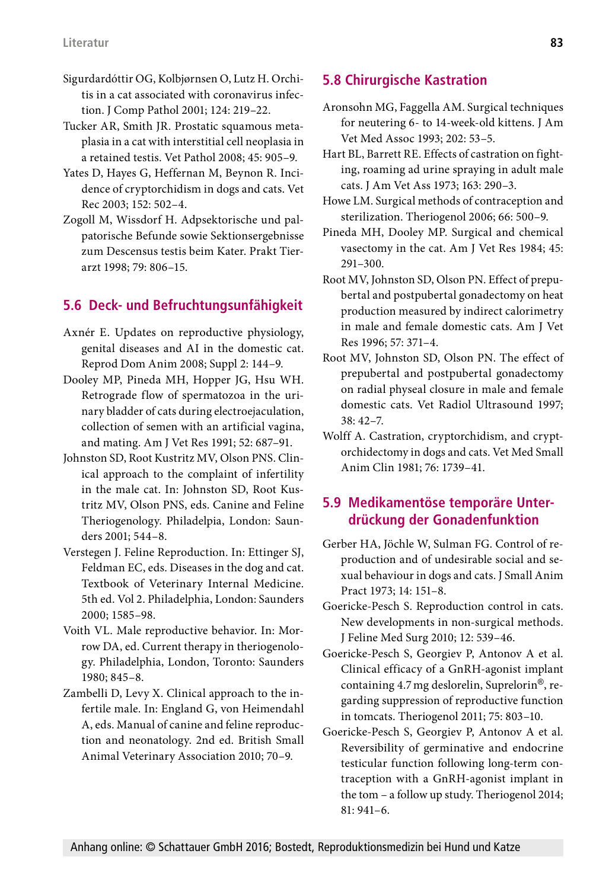- Sigurdardóttir OG, Kolbjørnsen O, Lutz H. Orchitis in a cat associated with coronavirus infection. J Comp Pathol 2001; 124: 219–22.
- Tucker AR, Smith JR. Prostatic squamous metaplasia in a cat with interstitial cell neoplasia in a retained testis. Vet Pathol 2008; 45: 905–9.
- Yates D, Hayes G, Heffernan M, Beynon R. Incidence of cryptorchidism in dogs and cats. Vet Rec 2003; 152: 502–4.
- Zogoll M, Wissdorf H. Adpsektorische und palpatorische Befunde sowie Sektionsergebnisse zum Descensus testis beim Kater. Prakt Tierarzt 1998; 79: 806–15.

# **5.6 Deck- und Befruchtungsunfähigkeit**

- Axnér E. Updates on reproductive physiology, genital diseases and AI in the domestic cat. Reprod Dom Anim 2008; Suppl 2: 144–9.
- Dooley MP, Pineda MH, Hopper JG, Hsu WH. Retrograde flow of spermatozoa in the urinary bladder of cats during electroejaculation, collection of semen with an artificial vagina, and mating. Am J Vet Res 1991; 52: 687–91.
- Johnston SD, Root Kustritz MV, Olson PNS. Clinical approach to the complaint of infertility in the male cat. In: Johnston SD, Root Kustritz MV, Olson PNS, eds. Canine and Feline Theriogenology. Philadelpia, London: Saunders 2001; 544–8.
- Verstegen J. Feline Reproduction. In: Ettinger SJ, Feldman EC, eds. Diseases in the dog and cat. Textbook of Veterinary Internal Medicine. 5th ed. Vol 2. Philadelphia, London: Saunders 2000; 1585–98.
- Voith VL. Male reproductive behavior. In: Morrow DA, ed. Current therapy in theriogenology. Philadelphia, London, Toronto: Saunders 1980; 845–8.
- Zambelli D, Levy X. Clinical approach to the infertile male. In: England G, von Heimendahl A, eds. Manual of canine and feline reproduction and neonatology. 2nd ed. British Small Animal Veterinary Association 2010; 70–9.

# **5.8 Chirurgische Kastration**

- Aronsohn MG, Faggella AM. Surgical techniques for neutering 6- to 14-week-old kittens. J Am Vet Med Assoc 1993; 202: 53–5.
- Hart BL, Barrett RE. Effects of castration on fighting, roaming ad urine spraying in adult male cats. J Am Vet Ass 1973; 163: 290–3.
- Howe LM. Surgical methods of contraception and sterilization. Theriogenol 2006; 66: 500–9.
- Pineda MH, Dooley MP. Surgical and chemical vasectomy in the cat. Am J Vet Res 1984; 45: 291–300.
- Root MV, Johnston SD, Olson PN. Effect of prepubertal and postpubertal gonadectomy on heat production measured by indirect calorimetry in male and female domestic cats. Am J Vet Res 1996; 57: 371–4.
- Root MV, Johnston SD, Olson PN. The effect of prepubertal and postpubertal gonadectomy on radial physeal closure in male and female domestic cats. Vet Radiol Ultrasound 1997; 38: 42–7.
- Wolff A. Castration, cryptorchidism, and cryptorchidectomy in dogs and cats. Vet Med Small Anim Clin 1981; 76: 1739–41.

### **5.9 Medikamentöse temporäre Unterdrückung der Gonadenfunktion**

- Gerber HA, Jöchle W, Sulman FG. Control of reproduction and of undesirable social and sexual behaviour in dogs and cats. J Small Anim Pract 1973; 14: 151–8.
- Goericke-Pesch S. Reproduction control in cats. New developments in non-surgical methods. J Feline Med Surg 2010; 12: 539–46.
- Goericke-Pesch S, Georgiev P, Antonov A et al. Clinical efficacy of a GnRH-agonist implant containing 4.7mg deslorelin, Suprelorin®, regarding suppression of reproductive function in tomcats. Theriogenol 2011; 75: 803–10.
- Goericke-Pesch S, Georgiev P, Antonov A et al. Reversibility of germinative and endocrine testicular function following long-term contraception with a GnRH-agonist implant in the tom – a follow up study. Theriogenol 2014; 81: 941–6.